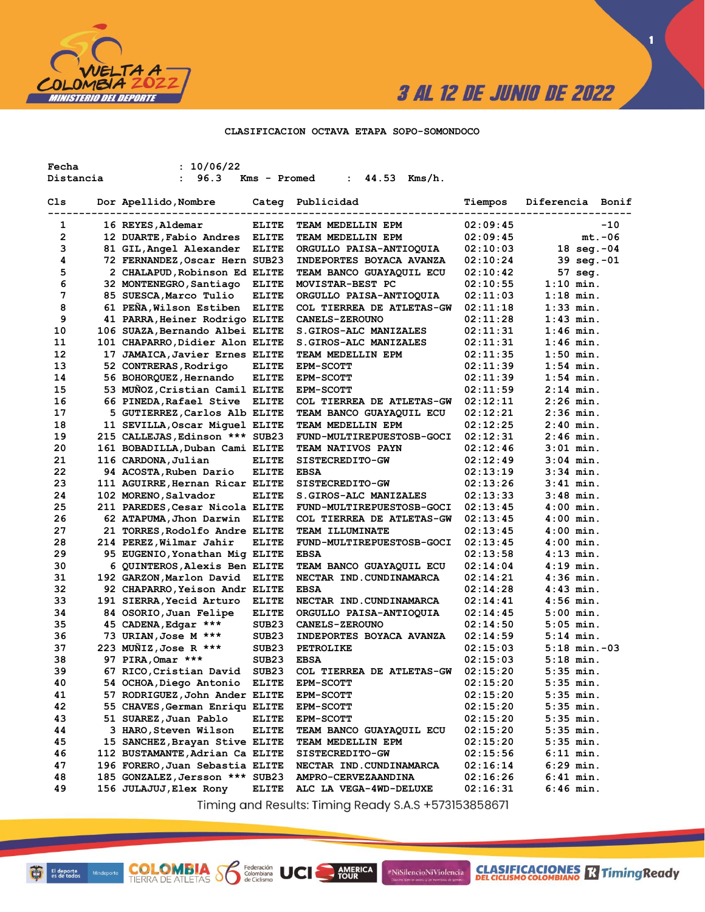

**1**

### **CLASIFICACION OCTAVA ETAPA SOPO-SOMONDOCO**

| Fecha     | : 10/06/22                                   |                   |                                              |                      |                            |
|-----------|----------------------------------------------|-------------------|----------------------------------------------|----------------------|----------------------------|
| Distancia | 96.3<br>$\mathbf{L}$                         | Kms - Promed      | 44.53<br>Kms/h.<br>$\mathbf{r}$              |                      |                            |
| Cls       | Dor Apellido,Nombre                          | Categ             | Publicidad                                   | Tiempos              | Diferencia Bonif           |
|           |                                              |                   |                                              |                      |                            |
| 1         | 16 REYES, Aldemar                            | <b>ELITE</b>      | TEAM MEDELLIN EPM                            | 02:09:45             | $-10$                      |
| 2         | 12 DUARTE, Fabio Andres                      | <b>ELITE</b>      | TEAM MEDELLIN EPM                            | 02:09:45             | $mt.-06$                   |
| 3         | 81 GIL, Angel Alexander                      | <b>ELITE</b>      | ORGULLO PAISA-ANTIOQUIA                      | 02:10:03             | 18 $seg.-04$               |
| 4         | 72 FERNANDEZ, Oscar Hern SUB23               |                   | <b>INDEPORTES BOYACA AVANZA</b>              | 02:10:24             | $39 \text{ seq.} -01$      |
| 5         | 2 CHALAPUD, Robinson Ed ELITE                |                   | <b>TEAM BANCO GUAYAQUIL ECU</b>              | 02:10:42             | 57 seg.                    |
| 6         | 32 MONTENEGRO, Santiago                      | <b>ELITE</b>      | MOVISTAR-BEST PC                             | 02:10:55             | $1:10$ min.                |
| 7         | 85 SUESCA, Marco Tulio                       | <b>ELITE</b>      | ORGULLO PAISA-ANTIOQUIA                      | 02:11:03             | $1:18$ min.                |
| 8         | 61 PEÑA, Wilson Estiben                      | <b>ELITE</b>      | COL TIERREA DE ATLETAS-GW                    | 02:11:18             | $1:33$ min.                |
| 9         | 41 PARRA, Heiner Rodrigo ELITE               |                   | <b>CANELS-ZEROUNO</b>                        | 02:11:28             | $1:43$ min.                |
| 10        | 106 SUAZA, Bernando Albei ELITE              |                   | S.GIROS-ALC MANIZALES                        | 02:11:31             | $1:46$ min.                |
| 11        | 101 CHAPARRO, Didier Alon ELITE              |                   | <b>S.GIROS-ALC MANIZALES</b>                 | 02:11:31             | $1:46$ min.                |
| 12        | 17 JAMAICA, Javier Ernes ELITE               |                   | TEAM MEDELLIN EPM                            | 02:11:35             | $1:50$ min.                |
| 13        | 52 CONTRERAS, Rodrigo                        | <b>ELITE</b>      | <b>EPM-SCOTT</b>                             | 02:11:39             | $1:54$ min.                |
| 14        | 56 BOHORQUEZ, Hernando                       | <b>ELITE</b>      | <b>EPM-SCOTT</b>                             | 02:11:39             | $1:54$ min.                |
| 15        | 53 MUÑOZ, Cristian Camil ELITE               |                   | <b>EPM-SCOTT</b>                             | 02:11:59             | $2:14$ min.                |
| 16        | 66 PINEDA, Rafael Stive ELITE                |                   | COL TIERREA DE ATLETAS-GW                    | 02:12:11             | $2:26$ min.                |
| 17        | 5 GUTIERREZ, Carlos Alb ELITE                |                   | TEAM BANCO GUAYAQUIL ECU                     | 02:12:21             | $2:36$ min.                |
| 18        | 11 SEVILLA, Oscar Miguel ELITE               |                   | <b>TEAM MEDELLIN EPM</b>                     | 02:12:25             | $2:40$ min.                |
| 19        | 215 CALLEJAS, Edinson *** SUB23              |                   | FUND-MULTIREPUESTOSB-GOCI                    | 02:12:31             | $2:46$ min.                |
| 20        | 161 BOBADILLA, Duban Cami ELITE              |                   | <b>TEAM NATIVOS PAYN</b>                     | 02:12:46             | $3:01$ min.                |
| 21        | 116 CARDONA, Julian                          | <b>ELITE</b>      | <b>SISTECREDITO-GW</b>                       | 02:12:49             | $3:04$ min.                |
| 22        | 94 ACOSTA, Ruben Dario                       | <b>ELITE</b>      | <b>EBSA</b>                                  | 02:13:19             | $3:34$ min.                |
| 23        | 111 AGUIRRE, Hernan Ricar ELITE              |                   | SISTECREDITO-GW                              | 02:13:26             | $3:41$ min.                |
| 24        | 102 MORENO, Salvador                         | <b>ELITE</b>      | <b>S.GIROS-ALC MANIZALES</b>                 | 02:13:33             | $3:48$ min.                |
| 25        | 211 PAREDES, Cesar Nicola ELITE              |                   | FUND-MULTIREPUESTOSB-GOCI                    | 02:13:45             | $4:00$ min.                |
| 26        | 62 ATAPUMA,Jhon Darwin                       | ELITE             | <b>COL TIERREA DE ATLETAS-GW</b>             | 02:13:45             | $4:00$ min.                |
| 27        | 21 TORRES, Rodolfo Andre ELITE               |                   | <b>TEAM ILLUMINATE</b>                       | 02:13:45             | $4:00$ min.                |
| 28        | 214 PEREZ, Wilmar Jahir                      | <b>ELITE</b>      | FUND-MULTIREPUESTOSB-GOCI                    | 02:13:45             | $4:00$ min.                |
| 29        | 95 EUGENIO, Yonathan Mig ELITE               |                   | <b>EBSA</b>                                  | 02:13:58             | $4:13$ min.                |
| 30        | 6 QUINTEROS, Alexis Ben ELITE                |                   | <b>TEAM BANCO GUAYAQUIL ECU</b>              | 02:14:04             | $4:19$ min.                |
| 31        | 192 GARZON, Marlon David                     | <b>ELITE</b>      | NECTAR IND. CUNDINAMARCA                     | 02:14:21             | $4:36$ min.                |
| 32        | 92 CHAPARRO, Yeison Andr ELITE               |                   | <b>EBSA</b>                                  | 02:14:28             | $4:43$ min.                |
| 33        | 191 SIERRA, Yecid Arturo                     | <b>ELITE</b>      | NECTAR IND. CUNDINAMARCA                     | 02:14:41             | 4:56 min.                  |
| 34        | 84 OSORIO, Juan Felipe                       | <b>ELITE</b>      | ORGULLO PAISA-ANTIOQUIA                      | 02:14:45             | $5:00$ min.                |
| 35<br>36  | 45 CADENA, Edgar ***<br>73 URIAN, Jose M *** | SUB23<br>SUB23    | CANELS-ZEROUNO                               | 02:14:50<br>02:14:59 | $5:05$ min.<br>$5:14$ min. |
| 37        | 223 MUNIZ, Jose R ***                        | SUB <sub>23</sub> | <b>INDEPORTES BOYACA AVANZA</b><br>PETROLIKE | 02:15:03             | $5:18$ min. $-03$          |
| 38        | 97 PIRA, Omar ***                            | SUB23             | <b>EBSA</b>                                  | 02:15:03             | $5:18$ min.                |
| 39        | 67 RICO, Cristian David                      | SUB <sub>23</sub> | COL TIERREA DE ATLETAS-GW                    | 02:15:20             | $5:35$ min.                |
| 40        | 54 OCHOA, Diego Antonio                      | <b>ELITE</b>      | <b>EPM-SCOTT</b>                             | 02:15:20             | $5:35$ min.                |
| 41        | 57 RODRIGUEZ, John Ander ELITE               |                   | <b>EPM-SCOTT</b>                             | 02:15:20             | $5:35$ min.                |
| 42        | 55 CHAVES, German Enriqu ELITE               |                   | <b>EPM-SCOTT</b>                             | 02:15:20             | $5:35$ min.                |
| 43        | 51 SUAREZ, Juan Pablo                        | <b>ELITE</b>      | <b>EPM-SCOTT</b>                             | 02:15:20             | $5:35$ min.                |
| 44        | 3 HARO, Steven Wilson                        | <b>ELITE</b>      | TEAM BANCO GUAYAQUIL ECU                     | 02:15:20             | $5:35$ min.                |
| 45        | 15 SANCHEZ, Brayan Stive ELITE               |                   | TEAM MEDELLIN EPM                            | 02:15:20             | $5:35$ min.                |
| 46        | 112 BUSTAMANTE, Adrian Ca ELITE              |                   | <b>SISTECREDITO-GW</b>                       | 02:15:56             | $6:11$ min.                |
| 47        | 196 FORERO, Juan Sebastia ELITE              |                   | NECTAR IND. CUNDINAMARCA                     | 02:16:14             | $6:29$ min.                |
| 48        | 185 GONZALEZ, Jersson *** SUB23              |                   | AMPRO-CERVEZAANDINA                          | 02:16:26             | $6:41$ min.                |
| 49        | 156 JULAJUJ, Elex Rony                       | ELITE             | ALC LA VEGA-4WD-DELUXE                       | 02:16:31             | $6:46$ min.                |

Timing and Results: Timing Ready S.A.S +573153858671

AMERICA

#NiSilencioNiViolencia

**COLOMBIA Se Ederación** UCI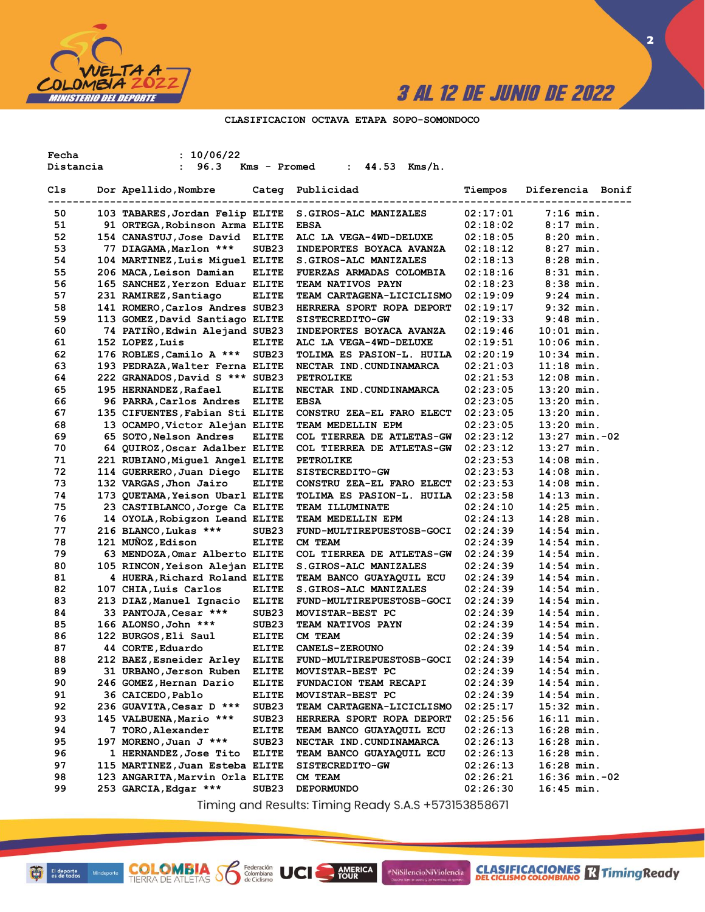

### **CLASIFICACION OCTAVA ETAPA SOPO-SOMONDOCO**

| Fecha     | : 10/06/22                                   |                   |                                               |          |                  |
|-----------|----------------------------------------------|-------------------|-----------------------------------------------|----------|------------------|
| Distancia | 96.3<br>$\mathbf{L}$                         | Kms - Promed      | 44.53<br>Kms/h.<br>$\ddot{\phantom{a}}$       |          |                  |
|           |                                              |                   |                                               |          |                  |
| Cls       | Dor Apellido, Nombre                         |                   | Categ Publicidad                              | Tiempos  | Diferencia Bonif |
|           |                                              |                   |                                               |          |                  |
| 50        | 103 TABARES, Jordan Felip ELITE              |                   | S.GIROS-ALC MANIZALES                         | 02:17:01 | $7:16$ min.      |
| 51        | 91 ORTEGA, Robinson Arma ELITE               |                   | <b>EBSA</b>                                   | 02:18:02 | $8:17$ min.      |
| 52        | 154 CANASTUJ, Jose David ELITE               |                   | ALC LA VEGA-4WD-DELUXE                        | 02:18:05 | $8:20$ min.      |
| 53        | 77 DIAGAMA, Marlon ***                       | SUB <sub>23</sub> | INDEPORTES BOYACA AVANZA                      | 02:18:12 | $8:27$ min.      |
| 54        | 104 MARTINEZ, Luis Miguel ELITE              |                   | S.GIROS-ALC MANIZALES                         | 02:18:13 | $8:28$ min.      |
| 55        | 206 MACA, Leison Damian                      | <b>ELITE</b>      | <b>FUERZAS ARMADAS COLOMBIA</b>               | 02:18:16 | $8:31$ min.      |
| 56        | 165 SANCHEZ, Yerzon Eduar ELITE              |                   | <b>TEAM NATIVOS PAYN</b>                      | 02:18:23 | $8:38$ min.      |
| 57        | 231 RAMIREZ, Santiago                        | <b>ELITE</b>      | <b>TEAM CARTAGENA-LICICLISMO</b>              | 02:19:09 | $9:24$ min.      |
| 58        | 141 ROMERO, Carlos Andres SUB23              |                   | HERRERA SPORT ROPA DEPORT                     | 02:19:17 | $9:32$ min.      |
| 59        | 113 GOMEZ, David Santiago ELITE              |                   | SISTECREDITO-GW                               | 02:19:33 | $9:48$ min.      |
| 60        | 74 PATIÑO, Edwin Alejand SUB23               |                   | INDEPORTES BOYACA AVANZA                      | 02:19:46 | $10:01$ min.     |
| 61        | 152 LOPEZ, Luis                              | <b>ELITE</b>      | ALC LA VEGA-4WD-DELUXE                        | 02:19:51 | $10:06$ min.     |
| 62        | 176 ROBLES, Camilo A ***                     | SUB <sub>23</sub> | TOLIMA ES PASION-L. HUILA                     | 02:20:19 | $10:34$ min.     |
| 63        | 193 PEDRAZA, Walter Ferna ELITE              |                   | NECTAR IND.CUNDINAMARCA                       | 02:21:03 | $11:18$ min.     |
| 64        | 222 GRANADOS, David S *** SUB23              |                   | PETROLIKE                                     | 02:21:53 | $12:08$ min.     |
| 65        | 195 HERNANDEZ, Rafael                        | <b>ELITE</b>      | NECTAR IND. CUNDINAMARCA                      | 02:23:05 | $13:20$ min.     |
| 66        | 96 PARRA, Carlos Andres                      | <b>ELITE</b>      | <b>EBSA</b>                                   | 02:23:05 | $13:20$ min.     |
| 67        | 135 CIFUENTES, Fabian Sti ELITE              |                   | CONSTRU ZEA-EL FARO ELECT                     | 02:23:05 | $13:20$ min.     |
| 68        | 13 OCAMPO, Victor Alejan ELITE               |                   | TEAM MEDELLIN EPM                             | 02:23:05 | $13:20$ min.     |
| 69        | 65 SOTO, Nelson Andres                       | <b>ELITE</b>      | COL TIERREA DE ATLETAS-GW                     | 02:23:12 | $13:27$ min.-02  |
| 70        | 64 QUIROZ, Oscar Adalber ELITE               |                   | COL TIERREA DE ATLETAS-GW                     | 02:23:12 | $13:27$ min.     |
| 71        | 221 RUBIANO, Miquel Angel ELITE              |                   | PETROLIKE                                     | 02:23:53 | $14:08$ min.     |
| 72        | 114 GUERRERO, Juan Diego ELITE               |                   | SISTECREDITO-GW                               | 02:23:53 | $14:08$ min.     |
| 73        | 132 VARGAS, Jhon Jairo                       | <b>ELITE</b>      | CONSTRU ZEA-EL FARO ELECT                     | 02:23:53 | $14:08$ min.     |
| 74        | 173 QUETAMA, Yeison Ubarl ELITE              |                   | TOLIMA ES PASION-L. HUILA                     | 02:23:58 | $14:13$ min.     |
| 75        | 23 CASTIBLANCO, Jorge Ca ELITE               |                   | TEAM ILLUMINATE                               | 02:24:10 | $14:25$ min.     |
| 76        | 14 OYOLA, Robigzon Leand ELITE               |                   | TEAM MEDELLIN EPM                             | 02:24:13 | $14:28$ min.     |
| 77        | 216 BLANCO, Lukas ***                        | SUB <sub>23</sub> | FUND-MULTIREPUESTOSB-GOCI                     | 02:24:39 | $14:54$ min.     |
| 78        | 121 MUÑOZ, Edison                            | <b>ELITE</b>      | CM TEAM                                       | 02:24:39 | $14:54$ min.     |
| 79        | 63 MENDOZA, Omar Alberto ELITE               |                   | COL TIERREA DE ATLETAS-GW                     | 02:24:39 | $14:54$ min.     |
| 80        | 105 RINCON, Yeison Alejan ELITE              |                   | S.GIROS-ALC MANIZALES                         | 02:24:39 | $14:54$ min.     |
| 81        | 4 HUERA, Richard Roland ELITE                |                   | TEAM BANCO GUAYAQUIL ECU                      | 02:24:39 | $14:54$ min.     |
| 82        | 107 CHIA, Luis Carlos                        | <b>ELITE</b>      | S.GIROS-ALC MANIZALES                         | 02:24:39 | $14:54$ min.     |
| 83        | 213 DIAZ, Manuel Ignacio                     | <b>ELITE</b>      | FUND-MULTIREPUESTOSB-GOCI                     | 02:24:39 | $14:54$ min.     |
| 84        | 33 PANTOJA, Cesar ***                        | SUB <sub>23</sub> | MOVISTAR-BEST PC                              | 02:24:39 | $14:54$ min.     |
| 85        | 166 ALONSO, John ***                         | SUB <sub>23</sub> | TEAM NATIVOS PAYN                             | 02:24:39 | $14:54$ min.     |
| 86        | 122 BURGOS, Eli Saul                         | <b>ELITE</b>      | CM TEAM                                       | 02:24:39 | $14:54$ min.     |
| 87        | 44 CORTE, Eduardo                            | <b>ELITE</b>      | <b>CANELS-ZEROUNO</b>                         | 02:24:39 | $14:54$ min.     |
| 88        | 212 BAEZ, Esneider Arley                     | <b>ELITE</b>      | FUND-MULTIREPUESTOSB-GOCI                     | 02:24:39 | $14:54$ min.     |
| 89        | 31 URBANO, Jerson Ruben                      | <b>ELITE</b>      | MOVISTAR-BEST PC                              | 02:24:39 | 14:54 min.       |
| 90        |                                              |                   | FUNDACION TEAM RECAPI                         |          |                  |
| 91        | 246 GOMEZ, Hernan Dario<br>36 CAICEDO, Pablo | <b>ELITE</b>      |                                               | 02:24:39 | $14:54$ min.     |
| 92        |                                              | <b>ELITE</b>      | MOVISTAR-BEST PC<br>TEAM CARTAGENA-LICICLISMO | 02:24:39 | $14:54$ min.     |
|           | 236 GUAVITA, Cesar D ***                     | SUB <sub>23</sub> |                                               | 02:25:17 | $15:32$ min.     |
| 93        | 145 VALBUENA, Mario ***                      | SUB <sub>23</sub> | HERRERA SPORT ROPA DEPORT                     | 02:25:56 | $16:11$ min.     |
| 94        | 7 TORO, Alexander                            | <b>ELITE</b>      | TEAM BANCO GUAYAQUIL ECU                      | 02:26:13 | $16:28$ min.     |
| 95        | 197 MORENO, Juan J ***                       | SUB <sub>23</sub> | NECTAR IND.CUNDINAMARCA                       | 02:26:13 | $16:28$ min.     |
| 96        | 1 HERNANDEZ,Jose Tito                        | <b>ELITE</b>      | TEAM BANCO GUAYAQUIL ECU                      | 02:26:13 | $16:28$ min.     |
| 97        | 115 MARTINEZ, Juan Esteba ELITE              |                   | SISTECREDITO-GW                               | 02:26:13 | $16:28$ min.     |
| 98        | 123 ANGARITA, Marvin Orla ELITE              |                   | CM TEAM                                       | 02:26:21 | $16:36$ min.-02  |
| 99        | 253 GARCIA, Edgar ***                        | SUB23             | DEPORMUNDO                                    | 02:26:30 | $16:45$ min.     |

Timing and Results: Timing Ready S.A.S +573153858671

AMERICA

#NiSilencioNiViolencia

**COLOMBIA S** 

Federación<br>Colombiana<br>de Ciclismo

UCI

**2**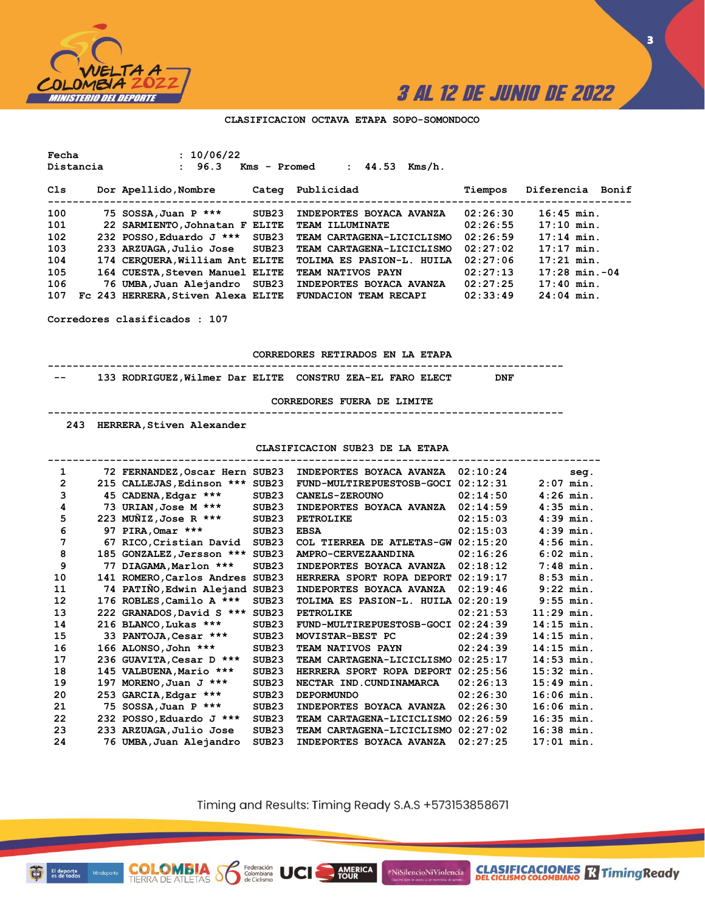

**3**

#### **CLASIFICACION OCTAVA ETAPA SOPO-SOMONDOCO**

**Fecha : 10/06/22 Distancia : 96.3 Kms - Promed : 44.53 Kms/h.**

| Cls | Dor Apellido, Nombre               | Categ | Publicidad                   | Tiempos  | Diferencia Bonif |
|-----|------------------------------------|-------|------------------------------|----------|------------------|
| 100 | 75 SOSSA, Juan P ***               | SUB23 | INDEPORTES BOYACA AVANZA     | 02:26:30 | $16:45$ min.     |
| 101 | 22 SARMIENTO, Johnatan F ELITE     |       | <b>TEAM ILLUMINATE</b>       | 02:26:55 | $17:10$ min.     |
| 102 | 232 POSSO, Eduardo J ***           | SUB23 | TEAM CARTAGENA-LICICLISMO    | 02:26:59 | $17:14$ min.     |
| 103 | 233 ARZUAGA, Julio Jose SUB23      |       | TEAM CARTAGENA-LICICLISMO    | 02:27:02 | $17:17$ min.     |
| 104 | 174 CEROUERA, William Ant ELITE    |       | TOLIMA ES PASION-L. HUILA    | 02:27:06 | $17:21$ min.     |
| 105 | 164 CUESTA, Steven Manuel ELITE    |       | TEAM NATIVOS PAYN            | 02:27:13 | $17:28$ min.-04  |
| 106 | 76 UMBA, Juan Alejandro SUB23      |       | INDEPORTES BOYACA AVANZA     | 02:27:25 | $17:40$ min.     |
| 107 | Fc 243 HERRERA, Stiven Alexa ELITE |       | <b>FUNDACION TEAM RECAPI</b> | 02:33:49 | $24:04$ min.     |

**Corredores clasificados : 107**

**CORREDORES RETIRADOS EN LA ETAPA**

**----------------------------------------------------------------------------------- -- 133 RODRIGUEZ,Wilmer Dar ELITE CONSTRU ZEA-EL FARO ELECT DNF**

**CORREDORES FUERA DE LIMITE**

**-----------------------------------------------------------------------------------**

 **243 HERRERA,Stiven Alexander**

**COLOMBIA**<br>TIERRA DE ATLETAS **SO** Equation

**CLASIFICACION SUB23 DE LA ETAPA**

| 1  |     | 72 FERNANDEZ, Oscar Hern SUB23  |                   | INDEPORTES BOYACA AVANZA           | 02:10:24 |              | seq. |
|----|-----|---------------------------------|-------------------|------------------------------------|----------|--------------|------|
| 2  |     | 215 CALLEJAS, Edinson *** SUB23 |                   | FUND-MULTIREPUESTOSB-GOCI          | 02:12:31 | $2:07$ min.  |      |
| 3  |     | 45 CADENA, Edgar ***            | SUB <sub>23</sub> | <b>CANELS-ZEROUNO</b>              | 02:14:50 | $4:26$ min.  |      |
| 4  |     | 73 URIAN, Jose M ***            | SUB23             | INDEPORTES BOYACA AVANZA           | 02:14:59 | $4:35$ min.  |      |
| 5  |     | 223 MUÑIZ, Jose R ***           | SUB <sub>23</sub> | <b>PETROLIKE</b>                   | 02:15:03 | $4:39$ min.  |      |
| 6  |     | 97 PIRA, Omar ***               | SUB <sub>23</sub> | <b>EBSA</b>                        | 02:15:03 | $4:39$ min.  |      |
| 7  |     | 67 RICO, Cristian David         | SUB <sub>23</sub> | COL TIERREA DE ATLETAS-GW          | 02:15:20 | $4:56$ min.  |      |
| 8  |     | 185 GONZALEZ, Jersson ***       | SUB23             | AMPRO-CERVEZAANDINA                | 02:16:26 | $6:02$ min.  |      |
| 9  | 77  | DIAGAMA, Marlon ***             | SUB <sub>23</sub> | INDEPORTES BOYACA AVANZA           | 02:18:12 | $7:48$ min.  |      |
| 10 |     | 141 ROMERO, Carlos Andres SUB23 |                   | HERRERA SPORT ROPA DEPORT          | 02:19:17 | $8:53$ min.  |      |
| 11 |     | 74 PATINO, Edwin Alejand SUB23  |                   | INDEPORTES BOYACA AVANZA           | 02:19:46 | $9:22$ min.  |      |
| 12 |     | 176 ROBLES, Camilo A ***        | SUB <sub>23</sub> | TOLIMA ES PASION-L. HUILA 02:20:19 |          | $9:55$ min.  |      |
| 13 |     | 222 GRANADOS, David S ***       | SUB23             | <b>PETROLIKE</b>                   | 02:21:53 | $11:29$ min. |      |
| 14 |     | 216 BLANCO, Lukas ***           | SUB <sub>23</sub> | FUND-MULTIREPUESTOSB-GOCI          | 02:24:39 | $14:15$ min. |      |
| 15 |     | 33 PANTOJA, Cesar ***           | SUB <sub>23</sub> | MOVISTAR-BEST PC                   | 02:24:39 | $14:15$ min. |      |
| 16 |     | 166 ALONSO, John ***            | SUB <sub>23</sub> | TEAM NATIVOS PAYN                  | 02:24:39 | $14:15$ min. |      |
| 17 |     | 236 GUAVITA, Cesar D ***        | SUB <sub>23</sub> | TEAM CARTAGENA-LICICLISMO          | 02:25:17 | $14:53$ min. |      |
| 18 |     | 145 VALBUENA, Mario ***         | SUB <sub>23</sub> | HERRERA SPORT ROPA DEPORT          | 02:25:56 | $15:32$ min. |      |
| 19 | 197 | MORENO, Juan $J$ ***            | SUB <sub>23</sub> | NECTAR IND.CUNDINAMARCA            | 02:26:13 | $15:49$ min. |      |
| 20 |     | 253 GARCIA, Edgar ***           | SUB <sub>23</sub> | <b>DEPORMUNDO</b>                  | 02:26:30 | $16:06$ min. |      |
| 21 |     | 75 SOSSA, Juan P ***            | SUB <sub>23</sub> | INDEPORTES BOYACA AVANZA           | 02:26:30 | $16:06$ min. |      |
| 22 |     | 232 POSSO, Eduardo J ***        | SUB <sub>23</sub> | TEAM CARTAGENA-LICICLISMO          | 02:26:59 | $16:35$ min. |      |
| 23 |     | 233 ARZUAGA, Julio Jose         | SUB <sub>23</sub> | TEAM CARTAGENA-LICICLISMO          | 02:27:02 | $16:38$ min. |      |
| 24 |     | 76 UMBA,Juan Alejandro          | SUB <sub>23</sub> | INDEPORTES BOYACA AVANZA           | 02:27:25 | $17:01$ min. |      |

Timing and Results: Timing Ready S.A.S +573153858671

**AMERICA**<br>TOUR

#NiSilencioNiViolencia

**CLASIFICACIONES** Timing Ready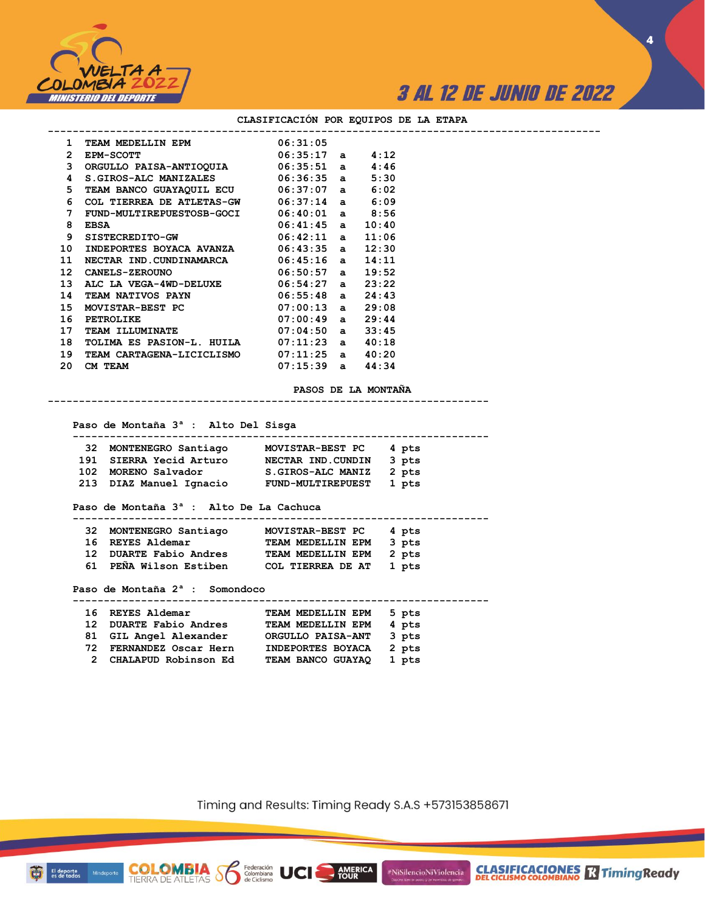

**CLASIFICACIONES R** Timing Ready

**4**

| 1            | TEAM MEDELLIN EPM 06:31:05                    |                      |       |  |
|--------------|-----------------------------------------------|----------------------|-------|--|
| $\mathbf{2}$ | $06:35:17$ a $4:12$<br><b>EPM-SCOTT</b>       |                      |       |  |
| 3            | ORGULLO PAISA-ANTIOQUIA 06:35:51 a 4:46       |                      |       |  |
| 4            | $S.GIROS-ALC$ MANIZALES $06:36:35$ a $5:30$   |                      |       |  |
| 5.           | TEAM BANCO GUAYAQUIL ECU 06:37:07 a 6:02      |                      |       |  |
| 6.           | COL TIERREA DE ATLETAS-GW $06:37:14$ a $6:09$ |                      |       |  |
| 7            | FUND-MULTIREPUESTOSB-GOCI 06:40:01 a 8:56     |                      |       |  |
| 8            | $06:41:45$ a $10:40$<br>EBSA                  |                      |       |  |
| 9            | $SISTECREDITO-GW$ 06:42:11 a 11:06            |                      |       |  |
| 10           | INDEPORTES BOYACA AVANZA 06:43:35 a 12:30     |                      |       |  |
| 11           | NECTAR IND.CUNDINAMARCA 06:45:16 a 14:11      |                      |       |  |
| 12           | CANELS-ZEROUNO 06:50:57 a 19:52               |                      |       |  |
| 13           | ALC LA VEGA-4WD-DELUXE 06:54:27 a 23:22       |                      |       |  |
| 14           | <b>TEAM NATIVOS PAYN</b> 06:55:48 a 24:43     |                      |       |  |
| 15           | MOVISTAR-BEST PC 07:00:13 a 29:08             |                      |       |  |
| 16           | $07:00:49$ a 29:44<br><b>PETROLIKE</b>        |                      |       |  |
| 17           | TEAM ILLUMINATE 07:04:50 a 33:45              |                      |       |  |
| 18           | TOLIMA ES PASION-L. HUILA 07:11:23 a          |                      | 40:18 |  |
| 19           | TEAM CARTAGENA-LICICLISMO 07:11:25 a 40:20    |                      |       |  |
| 20.          | CM TEAM                                       | $07:15:39$ a $44:34$ |       |  |
|              |                                               |                      |       |  |
|              |                                               |                      |       |  |

#### **CLASIFICACIÓN POR EQUIPOS DE LA ETAPA**

**PASOS DE LA MONTAÑA**

 **Paso de Montaña 3ª : Alto Del Sisga**

|  | 32 MONTENEGRO Santiago  | <b>MOVISTAR-BEST PC</b>  | 4 pts |
|--|-------------------------|--------------------------|-------|
|  | 191 SIERRA Yecid Arturo | NECTAR IND.CUNDIN        | 3 pts |
|  | 102 MORENO Salvador     | S.GIROS-ALC MANIZ        | 2 pts |
|  | 213 DIAZ Manuel Ignacio | <b>FUND-MULTIREPUEST</b> | 1 pts |

**-----------------------------------------------------------------------**

### **Paso de Montaña 3ª : Alto De La Cachuca**

**COLOMBIA**<br>TIERRA DE ATLETAS **Solombiana** 

El deporte<br>es de todos

|  | 32 MONTENEGRO Santiago | MOVISTAR-BEST PC 4 pts  |       |  |
|--|------------------------|-------------------------|-------|--|
|  | 16 REYES Aldemar       | TEAM MEDELLIN EPM       | 3 pts |  |
|  | 12 DUARTE Fabio Andres | TEAM MEDELLIN EPM 2 pts |       |  |
|  | 61 PEÑA Wilson Estiben | COL TIERREA DE AT       | 1 pts |  |

 **Paso de Montaña 2ª : Somondoco**

| 16 REYES Aldemar        | TEAM MEDELLIN EPM | 5 pts |
|-------------------------|-------------------|-------|
|                         |                   |       |
| 12 DUARTE Fabio Andres  | TEAM MEDELLIN EPM | 4 pts |
| 81 GIL Angel Alexander  | ORGULLO PAISA-ANT | 3 pts |
| 72 FERNANDEZ Oscar Hern | INDEPORTES BOYACA | 2 pts |
| 2 CHALAPUD Robinson Ed  | TEAM BANCO GUAYAQ | 1 pts |

Timing and Results: Timing Ready S.A.S +573153858671

AMERICA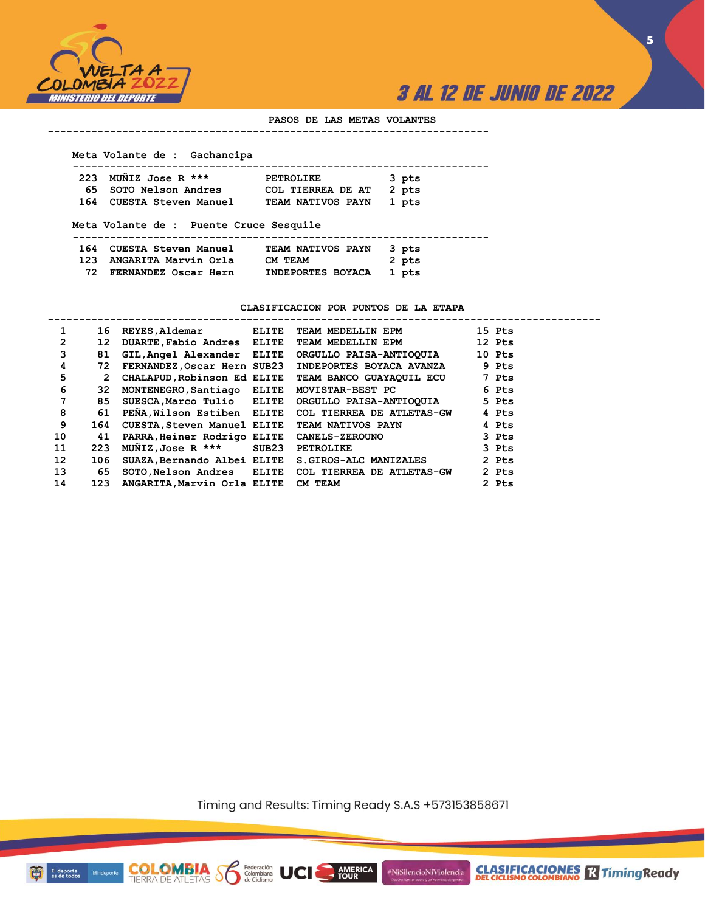

**5**

### **PASOS DE LAS METAS VOLANTES**

#### **-----------------------------------------------------------------------**

#### **Meta Volante de : Gachancipa**

| 223 MUÑIZ Jose R ***     | <b>PETROLIKE</b>        | 3 pts |
|--------------------------|-------------------------|-------|
| 65 SOTO Nelson Andres    | COL TIERREA DE AT 2 pts |       |
| 164 CUESTA Steven Manuel | TEAM NATIVOS PAYN 1 pts |       |
|                          |                         |       |

### **Meta Volante de : Puente Cruce Sesquile**

**COLOMBIA**<br>TIERRA DE ATLETAS **S** Se Ciclismo

| 164 CUESTA Steven Manuel | TEAM NATIVOS PAYN 3 pts |       |
|--------------------------|-------------------------|-------|
| 123 ANGARITA Marvin Orla | CM TEAM                 | 2 pts |
| 72 FERNANDEZ Oscar Hern  | INDEPORTES BOYACA 1 pts |       |

### **CLASIFICACION POR PUNTOS DE LA ETAPA**

| 1               | 16                    | REYES, Aldemar ELITE                       |       | TEAM MEDELLIN EPM                                   | 15 Pts |
|-----------------|-----------------------|--------------------------------------------|-------|-----------------------------------------------------|--------|
| 2               | 12                    | DUARTE, Fabio Andres ELITE                 |       | TEAM MEDELLIN EPM                                   | 12 Pts |
| 3               | 81                    | GIL, Angel Alexander ELITE                 |       | ORGULLO PAISA-ANTIOQUIA                             | 10 Pts |
| 4               | 72                    | FERNANDEZ, Oscar Hern SUB23                |       | INDEPORTES BOYACA AVANZA                            | 9 Pts  |
| 5               | $\mathbf{2}^{\prime}$ | CHALAPUD, Robinson Ed ELITE                |       | TEAM BANCO GUAYAQUIL ECU                            | 7 Pts  |
| 6               | 32                    | MONTENEGRO, Santiago ELITE                 |       | MOVISTAR-BEST PC                                    | 6 Pts  |
| 7               | 85                    | SUESCA, Marco Tulio ELITE                  |       | ORGULLO PAISA-ANTIOQUIA                             | 5 Pts  |
| 8               | 61                    | PENA, Wilson Estiben ELITE                 |       | COL TIERREA DE ATLETAS-GW                           | 4 Pts  |
| 9               | 164                   | CUESTA, Steven Manuel ELITE                |       | <b>TEAM NATIVOS PAYN</b>                            | 4 Pts  |
| 10              | 41                    | PARRA, Heiner Rodrigo ELITE CANELS-ZEROUNO |       |                                                     | 3 Pts  |
| 11              | 223                   | $M\tilde{M}$ IZ,Jose R ***                 | SUB23 | <b>PETROLIKE</b>                                    | 3 Pts  |
| 12 <sup>2</sup> | 106                   | SUAZA, Bernando Albei ELITE                |       | <b>S.GIROS-ALC MANIZALES</b>                        | 2 Pts  |
| 13              | 65                    |                                            |       | SOTO, Nelson Andres ELITE COL TIERREA DE ATLETAS-GW | 2 Pts  |
| 14              | 123                   | ANGARITA, Marvin Orla ELITE CM TEAM        |       |                                                     | 2 Pts  |

Timing and Results: Timing Ready S.A.S +573153858671

AMERICA

#NiSilencioNiViolencia



Minde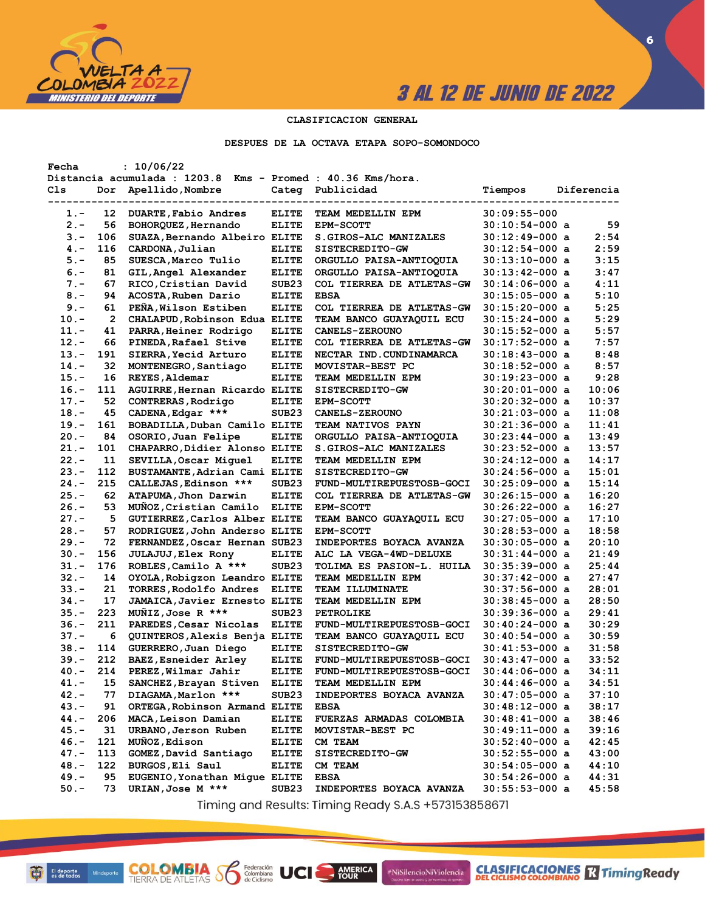

**CLASIFICACIONES** TimingReady

**6**

### **CLASIFICACION GENERAL**

**DESPUES DE LA OCTAVA ETAPA SOPO-SOMONDOCO**

| Fecha   |              | : 10/06/22                                                  |                   |                                               |                                    |            |
|---------|--------------|-------------------------------------------------------------|-------------------|-----------------------------------------------|------------------------------------|------------|
|         |              | Distancia acumulada : 1203.8 Kms - Promed : 40.36 Kms/hora. |                   |                                               |                                    |            |
| Cls     | Dor          | Apellido, Nombre                                            | Categ             | Publicidad                                    | Tiempos                            | Diferencia |
|         |              |                                                             |                   |                                               |                                    |            |
| 1.-     | 12           | DUARTE, Fabio Andres                                        | <b>ELITE</b>      | TEAM MEDELLIN EPM                             | 30:09:55-000                       |            |
| $2 -$   | 56           | BOHORQUEZ, Hernando                                         | <b>ELITE</b>      | <b>EPM-SCOTT</b>                              | $30:10:54-000$ a                   | 59         |
| $3 -$   | 106          | SUAZA, Bernando Albeiro ELITE                               |                   | S. GIROS-ALC MANIZALES                        | $30:12:49-000$ a                   | 2:54       |
| $4. -$  | 116          | CARDONA, Julian                                             | <b>ELITE</b>      | SISTECREDITO-GW                               | $30:12:54-000$ a                   | 2:59       |
| $5. -$  | 85           | SUESCA, Marco Tulio                                         | <b>ELITE</b>      | ORGULLO PAISA-ANTIOQUIA                       | 30:13:10-000 a                     | 3:15       |
| $6. -$  | 81           | GIL, Angel Alexander                                        | <b>ELITE</b>      | ORGULLO PAISA-ANTIOQUIA                       | 30:13:42-000 a                     | 3:47       |
| $7 -$   | 67           | RICO, Cristian David                                        | SUB <sub>23</sub> | COL TIERREA DE ATLETAS-GW                     | 30:14:06-000 a                     | 4:11       |
| $8 -$   | 94           | ACOSTA, Ruben Dario                                         | <b>ELITE</b>      | <b>EBSA</b>                                   | $30:15:05-000$ a                   | 5:10       |
| $9 -$   | 61           | PEÑA, Wilson Estiben                                        | <b>ELITE</b>      | COL TIERREA DE ATLETAS-GW                     | 30:15:20-000 a                     | 5:25       |
| $10. -$ | $\mathbf{2}$ | CHALAPUD, Robinson Edua ELITE                               |                   | TEAM BANCO GUAYAQUIL ECU                      | 30:15:24-000 a                     | 5:29       |
| $11. -$ | 41           | PARRA, Heiner Rodrigo                                       | <b>ELITE</b>      | <b>CANELS-ZEROUNO</b>                         | 30:15:52-000 a                     | 5:57       |
| $12. -$ | 66           | PINEDA, Rafael Stive                                        | <b>ELITE</b>      | COL TIERREA DE ATLETAS-GW                     | 30:17:52-000 a                     | 7:57       |
| $13 -$  | 191          | SIERRA, Yecid Arturo                                        | <b>ELITE</b>      | NECTAR IND. CUNDINAMARCA                      | 30:18:43-000 a                     | 8:48       |
| $14. -$ | 32           | MONTENEGRO, Santiago                                        | <b>ELITE</b>      | MOVISTAR-BEST PC                              | 30:18:52-000 a                     | 8:57       |
| $15. -$ | 16           | REYES, Aldemar                                              | <b>ELITE</b>      | TEAM MEDELLIN EPM                             | 30:19:23-000 a                     | 9:28       |
| $16. -$ | 111          | AGUIRRE, Hernan Ricardo ELITE                               |                   | SISTECREDITO-GW                               | 30:20:01-000 a                     | 10:06      |
| $17. -$ | 52           | CONTRERAS, Rodrigo                                          | <b>ELITE</b>      | <b>EPM-SCOTT</b>                              | $30:20:32-000$ a                   | 10:37      |
| $18. -$ | 45           | CADENA, Edgar ***                                           | SUB <sub>23</sub> | <b>CANELS-ZEROUNO</b>                         | $30:21:03-000$ a                   | 11:08      |
| $19. -$ | 161          | BOBADILLA, Duban Camilo ELITE                               |                   | TEAM NATIVOS PAYN                             | 30:21:36-000 a                     | 11:41      |
| $20 -$  | 84           | OSORIO, Juan Felipe                                         | <b>ELITE</b>      | ORGULLO PAISA-ANTIOQUIA                       | 30:23:44-000 a                     | 13:49      |
| $21 -$  | 101          | CHAPARRO, Didier Alonso ELITE                               |                   | S.GIROS-ALC MANIZALES                         | 30:23:52-000 a                     | 13:57      |
| $22 -$  | 11           | SEVILLA, Oscar Miguel                                       | <b>ELITE</b>      | TEAM MEDELLIN EPM                             | 30:24:12-000 a                     | 14:17      |
| $23 -$  | 112          | BUSTAMANTE, Adrian Cami ELITE                               |                   | SISTECREDITO-GW                               | 30:24:56-000 a                     | 15:01      |
| $24. -$ | 215          | CALLEJAS, Edinson ***                                       | SUB <sub>23</sub> | FUND-MULTIREPUESTOSB-GOCI                     | 30:25:09-000 a                     | 15:14      |
| $25. -$ | 62           | ATAPUMA, Jhon Darwin                                        | <b>ELITE</b>      | COL TIERREA DE ATLETAS-GW                     | 30:26:15-000 a                     | 16:20      |
| $26. -$ | 53           | MUÑOZ, Cristian Camilo                                      | <b>ELITE</b>      | <b>EPM-SCOTT</b>                              | 30:26:22-000 a                     | 16:27      |
| $27. -$ | 5            | GUTIERREZ, Carlos Alber ELITE                               |                   | TEAM BANCO GUAYAQUIL ECU                      | 30:27:05-000 a                     | 17:10      |
| $28. -$ | 57           | RODRIGUEZ, John Anderso ELITE                               |                   | <b>EPM-SCOTT</b>                              | 30:28:53-000 a                     | 18:58      |
| $29. -$ | 72           | FERNANDEZ, Oscar Hernan SUB23                               |                   | INDEPORTES BOYACA AVANZA                      | 30:30:05-000 a                     | 20:10      |
| $30 -$  | 156          | <b>JULAJUJ, Elex Rony</b>                                   | <b>ELITE</b>      | ALC LA VEGA-4WD-DELUXE                        | 30:31:44-000 a                     | 21:49      |
| $31 -$  | 176          | ROBLES, Camilo A ***                                        | SUB <sub>23</sub> | TOLIMA ES PASION-L. HUILA                     | $30:35:39-000$ a                   | 25:44      |
| $32 -$  | 14           | OYOLA, Robigzon Leandro ELITE                               |                   | TEAM MEDELLIN EPM                             | $30:37:42-000$ a                   | 27:47      |
| $33 -$  | 21           | TORRES, Rodolfo Andres                                      | <b>ELITE</b>      | TEAM ILLUMINATE                               | 30:37:56-000 a                     | 28:01      |
| $34. -$ | 17           | <b>JAMAICA, Javier Ernesto ELITE</b>                        |                   | TEAM MEDELLIN EPM                             | 30:38:45-000 a                     | 28:50      |
| $35. -$ | 223          | MUNIZ, Jose R ***                                           | SUB <sub>23</sub> | <b>PETROLIKE</b>                              | 30:39:36-000 a                     | 29:41      |
| $36. -$ | 211          | PAREDES, Cesar Nicolas                                      | <b>ELITE</b>      | FUND-MULTIREPUESTOSB-GOCI                     | $30:40:24-000$ a                   | 30:29      |
| $37. -$ | 6            | <b>QUINTEROS, Alexis Benja ELITE</b>                        |                   | TEAM BANCO GUAYAQUIL ECU                      | 30:40:54-000 a                     | 30:59      |
| $38 -$  | 114          | GUERRERO, Juan Diego                                        | <b>ELITE</b>      | SISTECREDITO-GW                               | $30:41:53-000$ a                   | 31:58      |
| 39.-    | 212          | BAEZ, Esneider Arley                                        | <b>ELITE</b>      | FUND-MULTIREPUESTOSB-GOCI                     | 30:43:47-000 a                     | 33:52      |
| 40.-    | 214          | PEREZ, Wilmar Jahir                                         | <b>ELITE</b>      | FUND-MULTIREPUESTOSB-GOCI                     | 30:44:06-000 a                     | 34:11      |
|         |              | SANCHEZ, Brayan Stiven                                      |                   |                                               |                                    | 34:51      |
| 41.-    | 15           | DIAGAMA, Marlon ***                                         | <b>ELITE</b>      | TEAM MEDELLIN EPM<br>INDEPORTES BOYACA AVANZA | 30:44:46-000 a<br>$30:47:05-000$ a | 37:10      |
| $42 -$  | 77           |                                                             | SUB <sub>23</sub> |                                               |                                    |            |
| $43 -$  | 91           | ORTEGA, Robinson Armand ELITE                               |                   | <b>EBSA</b>                                   | 30:48:12-000 a                     | 38:17      |
| 44.-    | 206          | MACA, Leison Damian                                         | <b>ELITE</b>      | FUERZAS ARMADAS COLOMBIA                      | $30:48:41-000$ a                   | 38:46      |
| 45.-    | 31           | URBANO, Jerson Ruben                                        | <b>ELITE</b>      | MOVISTAR-BEST PC                              | $30:49:11-000$ a                   | 39:16      |
| $46. -$ | 121          | MUÑOZ, Edison                                               | <b>ELITE</b>      | <b>CM TEAM</b>                                | 30:52:40-000 a                     | 42:45      |
| $47. -$ | 113          | GOMEZ, David Santiago                                       | <b>ELITE</b>      | SISTECREDITO-GW                               | $30:52:55-000$ a                   | 43:00      |
| $48. -$ | 122          | BURGOS, Eli Saul                                            | <b>ELITE</b>      | CM TEAM                                       | 30:54:05-000 a                     | 44:10      |
| $49. -$ | 95           | EUGENIO, Yonathan Migue ELITE                               |                   | <b>EBSA</b>                                   | $30:54:26-000$ a                   | 44:31      |
| $50. -$ | 73           | URIAN, Jose M ***                                           | SUB <sub>23</sub> | INDEPORTES BOYACA AVANZA                      | 30:55:53-000 a                     | 45:58      |

Timing and Results: Timing Ready S.A.S +573153858671

AMERICA

#NiSilencioNiViolencia

**COLOMBIA SP** 

Federación<br>Colombiana<br>de Ciclismo

UCI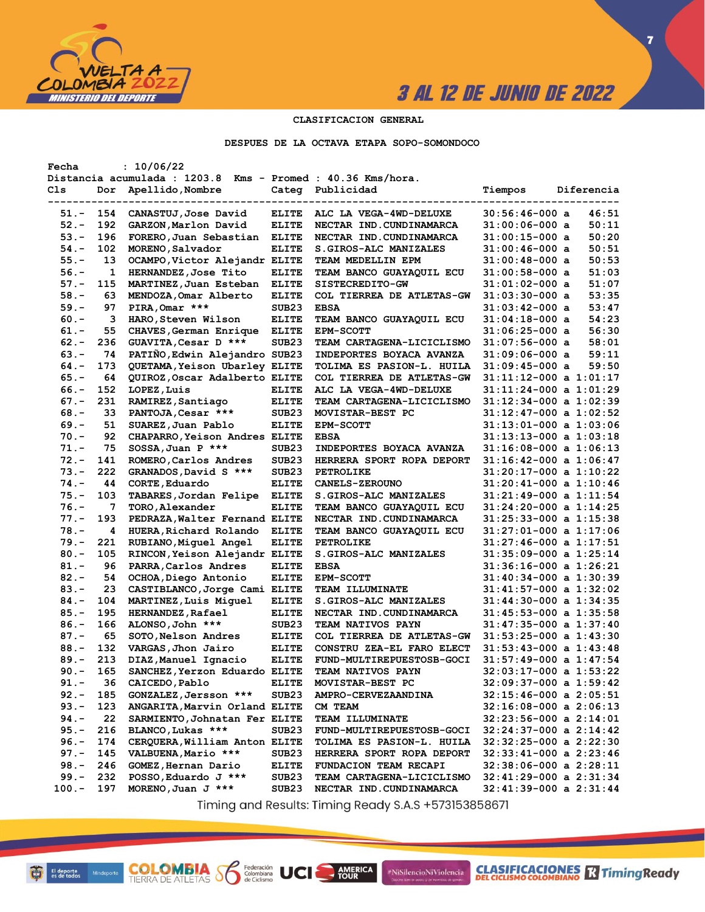

**7**

### **CLASIFICACION GENERAL**

**DESPUES DE LA OCTAVA ETAPA SOPO-SOMONDOCO**

| Fecha    |     | : 10/06/22                                                  |                   |                                  |                            |
|----------|-----|-------------------------------------------------------------|-------------------|----------------------------------|----------------------------|
|          |     | Distancia acumulada : 1203.8 Kms - Promed : 40.36 Kms/hora. |                   |                                  |                            |
| Cls      | Dor | Apellido, Nombre                                            |                   | Categ Publicidad                 | Tiempos<br>Diferencia      |
|          |     |                                                             |                   |                                  |                            |
| 51.-     | 154 | CANASTUJ, Jose David                                        | <b>ELITE</b>      | ALC LA VEGA-4WD-DELUXE           | $30:56:46-000$ a<br>46:51  |
| $52 -$   | 192 | GARZON, Marlon David                                        | <b>ELITE</b>      | NECTAR IND. CUNDINAMARCA         | 50:11<br>$31:00:06-000$ a  |
| $53 -$   | 196 | FORERO, Juan Sebastian                                      | <b>ELITE</b>      | NECTAR IND. CUNDINAMARCA         | 50:20<br>$31:00:15-000$ a  |
| $54. -$  | 102 | MORENO, Salvador                                            | <b>ELITE</b>      | S.GIROS-ALC MANIZALES            | 50:51<br>31:00:46-000 a    |
| $55. -$  | 13  | OCAMPO, Victor Alejandr ELITE                               |                   | <b>TEAM MEDELLIN EPM</b>         | 50:53<br>31:00:48-000 a    |
| $56. -$  | 1   | HERNANDEZ, Jose Tito                                        | <b>ELITE</b>      | <b>TEAM BANCO GUAYAQUIL ECU</b>  | 51:03<br>31:00:58-000 a    |
| $57. -$  | 115 | MARTINEZ, Juan Esteban                                      | <b>ELITE</b>      | <b>SISTECREDITO-GW</b>           | 51:07<br>$31:01:02-000$ a  |
| $58. -$  | 63  | MENDOZA, Omar Alberto                                       | <b>ELITE</b>      | COL TIERREA DE ATLETAS-GW        | 53:35<br>$31:03:30-000$ a  |
| 59.-     | 97  | PIRA, Omar ***                                              | SUB <sub>23</sub> | <b>EBSA</b>                      | 53:47<br>$31:03:42-000$ a  |
| $60 -$   | з   | HARO, Steven Wilson                                         | <b>ELITE</b>      | TEAM BANCO GUAYAQUIL ECU         | 54:23<br>31:04:18-000 a    |
|          |     |                                                             |                   |                                  | 56:30                      |
| $61. -$  | 55  | CHAVES, German Enrique                                      | <b>ELITE</b>      | <b>EPM-SCOTT</b>                 | 31:06:25-000 a             |
| $62 -$   | 236 | GUAVITA, Cesar D ***                                        | SUB <sub>23</sub> | TEAM CARTAGENA-LICICLISMO        | 58:01<br>$31:07:56-000$ a  |
| $63 -$   | 74  | PATIÑO, Edwin Alejandro SUB23                               |                   | INDEPORTES BOYACA AVANZA         | 59:11<br>31:09:06-000 a    |
| $64. -$  | 173 | QUETAMA, Yeison Ubarley ELITE                               |                   | <b>TOLIMA ES PASION-L. HUILA</b> | 59:50<br>31:09:45-000 a    |
| $65. -$  | 64  | QUIROZ, Oscar Adalberto ELITE                               |                   | COL TIERREA DE ATLETAS-GW        | 31:11:12-000 a 1:01:17     |
| $66. -$  | 152 | LOPEZ, Luis                                                 | <b>ELITE</b>      | ALC LA VEGA-4WD-DELUXE           | $31:11:24-000$ a $1:01:29$ |
| $67. -$  | 231 | RAMIREZ, Santiago                                           | <b>ELITE</b>      | TEAM CARTAGENA-LICICLISMO        | $31:12:34-000$ a $1:02:39$ |
| $68 -$   | 33  | PANTOJA, Cesar ***                                          | SUB <sub>23</sub> | MOVISTAR-BEST PC                 | 31:12:47-000 a 1:02:52     |
| $69. -$  | 51  | SUAREZ, Juan Pablo                                          | <b>ELITE</b>      | <b>EPM-SCOTT</b>                 | $31:13:01-000$ a $1:03:06$ |
| $70. -$  | 92  | CHAPARRO, Yeison Andres ELITE                               |                   | <b>EBSA</b>                      | 31:13:13-000 a 1:03:18     |
| $71. -$  | 75  | SOSSA, Juan P ***                                           | SUB <sub>23</sub> | INDEPORTES BOYACA AVANZA         | $31:16:08-000$ a $1:06:13$ |
| $72 -$   | 141 | ROMERO, Carlos Andres                                       | SUB <sub>23</sub> | HERRERA SPORT ROPA DEPORT        | $31:16:42-000$ a $1:06:47$ |
| $73. -$  | 222 | GRANADOS, David S ***                                       | SUB <sub>23</sub> | PETROLIKE                        | 31:20:17-000 a 1:10:22     |
| $74. -$  | 44  | CORTE, Eduardo                                              | <b>ELITE</b>      | <b>CANELS-ZEROUNO</b>            | $31:20:41-000$ a $1:10:46$ |
| $75. -$  | 103 | TABARES, Jordan Felipe                                      | <b>ELITE</b>      | S.GIROS-ALC MANIZALES            | 31:21:49-000 a 1:11:54     |
| $76. -$  | 7   | TORO, Alexander                                             | <b>ELITE</b>      | TEAM BANCO GUAYAQUIL ECU         | 31:24:20-000 a 1:14:25     |
| $77. -$  | 193 | PEDRAZA, Walter Fernand ELITE                               |                   | NECTAR IND. CUNDINAMARCA         | $31:25:33-000$ a $1:15:38$ |
| $78. -$  | 4   | HUERA, Richard Rolando                                      | <b>ELITE</b>      | TEAM BANCO GUAYAQUIL ECU         | 31:27:01-000 a 1:17:06     |
| $79. -$  | 221 | RUBIANO, Miguel Angel                                       | <b>ELITE</b>      | <b>PETROLIKE</b>                 | $31:27:46-000$ a $1:17:51$ |
| $80. -$  | 105 | RINCON, Yeison Alejandr ELITE                               |                   | S.GIROS-ALC MANIZALES            | $31:35:09-000$ a $1:25:14$ |
| $81. -$  | 96  | PARRA, Carlos Andres                                        | <b>ELITE</b>      | <b>EBSA</b>                      | 31:36:16-000 a 1:26:21     |
| $82 -$   | 54  |                                                             |                   |                                  |                            |
|          |     | OCHOA, Diego Antonio                                        | <b>ELITE</b>      | <b>EPM-SCOTT</b>                 | $31:40:34-000$ a $1:30:39$ |
| $83 -$   | 23  | CASTIBLANCO, Jorge Cami ELITE                               |                   | <b>TEAM ILLUMINATE</b>           | 31:41:57-000 a 1:32:02     |
| $84. -$  | 104 | MARTINEZ, Luis Miguel                                       | <b>ELITE</b>      | <b>S.GIROS-ALC MANIZALES</b>     | 31:44:30-000 a 1:34:35     |
| $85. -$  | 195 | <b>HERNANDEZ, Rafael</b>                                    | <b>ELITE</b>      | NECTAR IND. CUNDINAMARCA         | 31:45:53-000 a 1:35:58     |
| $86. -$  | 166 | ALONSO, John ***                                            | SUB <sub>23</sub> | <b>TEAM NATIVOS PAYN</b>         | $31:47:35-000$ a $1:37:40$ |
| $87. -$  | 65  | SOTO, Nelson Andres                                         | <b>ELITE</b>      | COL TIERREA DE ATLETAS-GW        | $31:53:25-000$ a $1:43:30$ |
| $88. -$  | 132 | VARGAS, Jhon Jairo                                          | <b>ELITE</b>      | CONSTRU ZEA-EL FARO ELECT        | 31:53:43-000 a 1:43:48     |
| $89. -$  | 213 | DIAZ, Manuel Ignacio                                        | <b>ELITE</b>      | FUND-MULTIREPUESTOSB-GOCI        | 31:57:49-000 a 1:47:54     |
| $90 -$   | 165 | SANCHEZ, Yerzon Eduardo ELITE                               |                   | <b>TEAM NATIVOS PAYN</b>         | 32:03:17-000 a 1:53:22     |
| $91. -$  | 36  | CAICEDO, Pablo                                              | <b>ELITE</b>      | MOVISTAR-BEST PC                 | 32:09:37-000 a 1:59:42     |
| $92 -$   | 185 | GONZALEZ, Jersson ***                                       | SUB <sub>23</sub> | AMPRO-CERVEZAANDINA              | $32:15:46-000$ a $2:05:51$ |
| $93 -$   | 123 | ANGARITA, Marvin Orland ELITE                               |                   | CM TEAM                          | $32:16:08-000$ a $2:06:13$ |
| 94.-     | 22  | SARMIENTO, Johnatan Fer ELITE                               |                   | <b>TEAM ILLUMINATE</b>           | $32:23:56-000$ a $2:14:01$ |
| $95. -$  | 216 | BLANCO, Lukas ***                                           | SUB23             | FUND-MULTIREPUESTOSB-GOCI        | $32:24:37-000$ a $2:14:42$ |
| $96. -$  | 174 | CERQUERA, William Anton ELITE                               |                   | TOLIMA ES PASION-L. HUILA        | $32:32:25-000$ a $2:22:30$ |
| $97. -$  | 145 | VALBUENA, Mario ***                                         | SUB23             | HERRERA SPORT ROPA DEPORT        | $32:33:41-000$ a $2:23:46$ |
| $98. -$  | 246 | GOMEZ, Hernan Dario                                         | <b>ELITE</b>      | FUNDACION TEAM RECAPI            | $32:38:06-000$ a $2:28:11$ |
| $99. -$  | 232 | POSSO, Eduardo J ***                                        | SUB <sub>23</sub> | TEAM CARTAGENA-LICICLISMO        | $32:41:29-000$ a $2:31:34$ |
| $100. -$ | 197 | MORENO, Juan J ***                                          | SUB23             | NECTAR IND. CUNDINAMARCA         | $32:41:39-000$ a $2:31:44$ |
|          |     |                                                             |                   |                                  |                            |

Timing and Results: Timing Ready S.A.S +573153858671

AMERICA

#NiSilencioNiViolencia

**COLOMBIA SP** 

Federación<br>Colombiana<br>de Ciclismo

UCI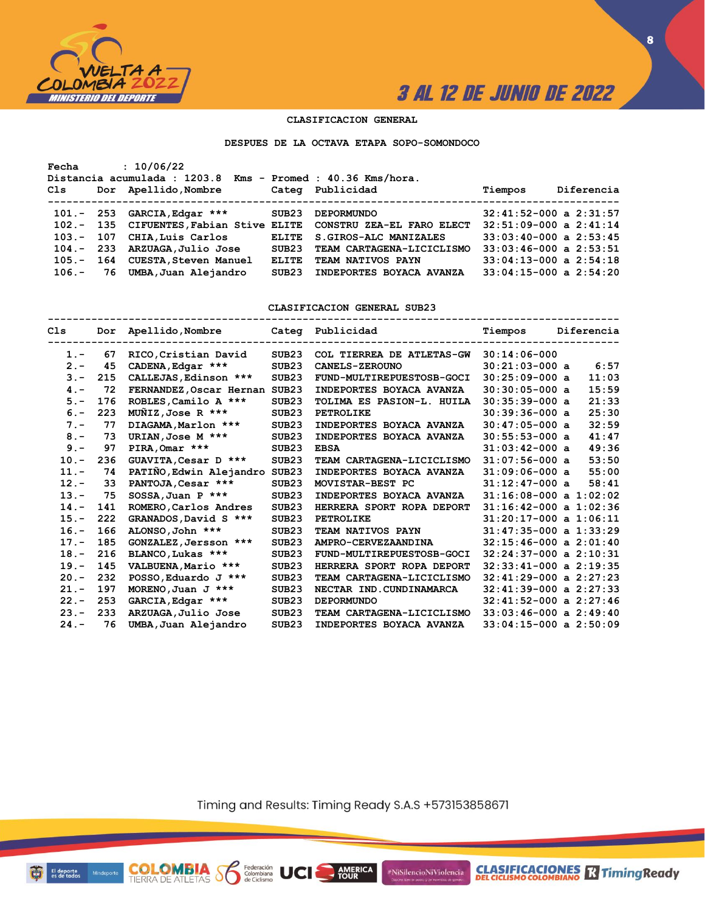

**8**

### **CLASIFICACION GENERAL**

**DESPUES DE LA OCTAVA ETAPA SOPO-SOMONDOCO**

| Fecha                | : 10/06/22<br>Distancia acumulada : 1203.8 Kms - Promed : 40.36 Kms/hora.                                                                                                                      |                                                         |                                                                                                                                                        |                                                                                                                                                                                  |            |
|----------------------|------------------------------------------------------------------------------------------------------------------------------------------------------------------------------------------------|---------------------------------------------------------|--------------------------------------------------------------------------------------------------------------------------------------------------------|----------------------------------------------------------------------------------------------------------------------------------------------------------------------------------|------------|
| Cls                  | Dor Apellido, Nombre                                                                                                                                                                           |                                                         | Categ Publicidad                                                                                                                                       | Tiempos                                                                                                                                                                          | Diferencia |
| 105.-<br>$106. - 76$ | $101. - 253$ GARCIA, Edgar ***<br>102.- 135 CIFUENTES, Fabian Stive ELITE<br>103.- 107 CHIA, Luis Carlos<br>104.- 233 ARZUAGA, Julio Jose<br>164 CUESTA, Steven Manuel<br>UMBA, Juan Alejandro | SUB23<br><b>ELITE</b><br>SUB23<br><b>ELITE</b><br>SUB23 | <b>DEPORMUNDO</b><br>CONSTRU ZEA-EL FARO ELECT<br>S. GIROS-ALC MANIZALES<br>TEAM CARTAGENA-LICICLISMO<br>TEAM NATIVOS PAYN<br>INDEPORTES BOYACA AVANZA | $32:41:52-000$ a $2:31:57$<br>$32:51:09-000$ a $2:41:14$<br>$33:03:40-000$ a $2:53:45$<br>$33:03:46-000$ a $2:53:51$<br>$33:04:13-000$ a $2:54:18$<br>$33:04:15-000$ a $2:54:20$ |            |

**CLASIFICACION GENERAL SUB23**

| Cls     |     | Dor Apellido, Nombre Categ Publicidad |                   |                           | Tiempos                    | Diferencia |
|---------|-----|---------------------------------------|-------------------|---------------------------|----------------------------|------------|
| $1 -$   | 67  | RICO, Cristian David                  | SUB23             | COL TIERREA DE ATLETAS-GW | $30:14:06-000$             |            |
| $2 -$   | 45  | CADENA, Edgar ***                     | SUB <sub>23</sub> | <b>CANELS-ZEROUNO</b>     | $30:21:03-000$ a           | 6:57       |
| $3 -$   | 215 | CALLEJAS, Edinson ***                 | SUB <sub>23</sub> | FUND-MULTIREPUESTOSB-GOCI | $30:25:09-000$ a           | 11:03      |
| $4 -$   | 72  | FERNANDEZ, Oscar Hernan               | SUB23             | INDEPORTES BOYACA AVANZA  | $30:30:05-000$ a           | 15:59      |
| $5. -$  | 176 | ROBLES, Camilo A ***                  | SUB <sub>23</sub> | TOLIMA ES PASION-L. HUILA | $30:35:39-000$ a           | 21:33      |
| $6 -$   | 223 | $M\tilde{M}$ IZ, Jose R ***           | SUB <sub>23</sub> | <b>PETROLIKE</b>          | $30:39:36-000$ a           | 25:30      |
| $7 -$   | 77  | DIAGAMA, Marlon ***                   | SUB <sub>23</sub> | INDEPORTES BOYACA AVANZA  | $30:47:05-000$ a           | 32:59      |
| $8 -$   | 73  | URIAN, Jose M ***                     | SUB <sub>23</sub> | INDEPORTES BOYACA AVANZA  | $30:55:53-000$ a           | 41:47      |
| $9 -$   | 97  | PIRA, Omar ***                        | SUB <sub>23</sub> | <b>EBSA</b>               | $31:03:42-000$ a           | 49:36      |
| $10. -$ | 236 | GUAVITA, Cesar D ***                  | SUB <sub>23</sub> | TEAM CARTAGENA-LICICLISMO | $31:07:56-000$ a           | 53:50      |
| $11. -$ | 74  | PATIÑO, Edwin Alejandro               | SUB <sub>23</sub> | INDEPORTES BOYACA AVANZA  | $31:09:06-000$ a           | 55:00      |
| $12 -$  | 33  | PANTOJA, Cesar ***                    | SUB <sub>23</sub> | MOVISTAR-BEST PC          | $31:12:47-000$ a           | 58:41      |
| $13 -$  | 75  | $SOSSA$ , Juan P ***                  | SUB <sub>23</sub> | INDEPORTES BOYACA AVANZA  | $31:16:08-000$ a $1:02:02$ |            |
| $14. -$ | 141 | ROMERO, Carlos Andres                 | SUB <sub>23</sub> | HERRERA SPORT ROPA DEPORT | $31:16:42-000$ a $1:02:36$ |            |
| $15. -$ | 222 | GRANADOS, David S ***                 | SUB <sub>23</sub> | <b>PETROLIKE</b>          | $31:20:17-000$ a $1:06:11$ |            |
| $16. -$ | 166 | ALONSO, John ***                      | SUB <sub>23</sub> | <b>TEAM NATIVOS PAYN</b>  | $31:47:35-000$ a $1:33:29$ |            |
| $17. -$ | 185 | GONZALEZ, Jersson ***                 | SUB23             | AMPRO-CERVEZAANDINA       | $32:15:46-000$ a $2:01:40$ |            |
| $18. -$ | 216 | BLANCO, Lukas ***                     | SUB23             | FUND-MULTIREPUESTOSB-GOCI | $32:24:37-000$ a $2:10:31$ |            |
| $19. -$ | 145 | VALBUENA, Mario ***                   | SUB <sub>23</sub> | HERRERA SPORT ROPA DEPORT | $32:33:41-000$ a $2:19:35$ |            |
| $20 -$  | 232 | POSSO, Eduardo J ***                  | SUB <sub>23</sub> | TEAM CARTAGENA-LICICLISMO | $32:41:29-000$ a $2:27:23$ |            |
| $21 -$  | 197 | MORENO, Juan J $***$                  | SUB <sub>23</sub> | NECTAR IND. CUNDINAMARCA  | $32:41:39-000$ a $2:27:33$ |            |
| $22 -$  | 253 | GARCIA, Edgar ***                     | SUB <sub>23</sub> | <b>DEPORMUNDO</b>         | $32:41:52-000$ a $2:27:46$ |            |
| $23 -$  | 233 | ARZUAGA, Julio Jose                   | SUB <sub>23</sub> | TEAM CARTAGENA-LICICLISMO | $33:03:46-000$ a $2:49:40$ |            |
| $24. -$ | 76  | UMBA, Juan Alejandro                  | SUB <sub>23</sub> | INDEPORTES BOYACA AVANZA  | $33:04:15-000$ a $2:50:09$ |            |

Timing and Results: Timing Ready S.A.S +573153858671

AMERICA

#NiSilencioNiViolencia

Federación<br>Colombiana<br>de Ciclismo

 $\delta$ 

Minc

El deporte<br>es de todos

**COLOMBIA**<br>TIERRA DE ATLETAS

**CLASIFICACIONES R** Timing Ready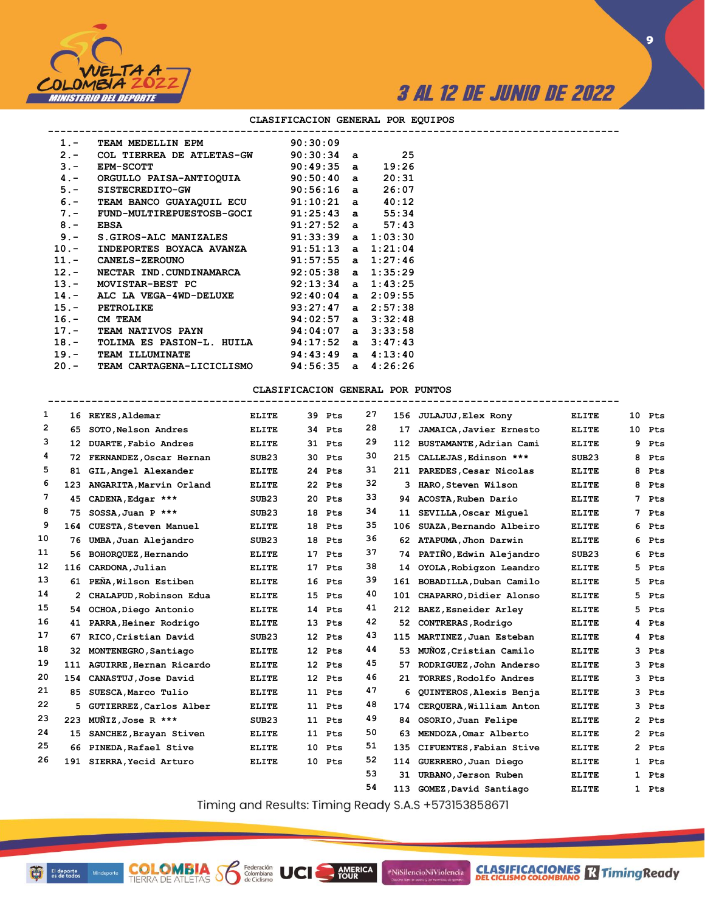

**9**

| TEAM MEDELLIN EPM 90:30:09<br>$1 -$<br>$2.$ - COL TIERREA DE ATLETAS-GW $90:30:34$ a $25$<br>$90:49:35$ a<br>$3 -$<br>19:26<br><b>EPM-SCOTT</b><br>4.- ORGULLO PAISA-ANTIOQUIA 90:50:40 a<br>20:31<br>5.- SISTECREDITO-GW 90:56:16 a<br>26:07<br>6.- TEAM BANCO GUAYAQUIL ECU 91:10:21 a 40:12<br>7.- FUND-MULTIREPUESTOSB-GOCI 91:25:43 a 55:34<br>$91:27:52$ a $57:43$<br>$8 -$<br><b>EBSA</b><br>S.GIROS-ALC MANIZALES 91:33:39 a 1:03:30<br>$9 -$<br>10.- INDEPORTES BOYACA AVANZA $91:51:13$ a $1:21:04$<br>11.- CANELS-ZEROUNO 91:57:55 a 1:27:46<br>12.- NECTAR IND.CUNDINAMARCA 92:05:38 a 1:35:29<br>13.- MOVISTAR-BEST PC 92:13:34 a 1:43:25<br>14.- ALC LA VEGA-4WD-DELUXE 92:40:04 a 2:09:55<br>$93:27:47$ a $2:57:38$<br>15.- PETROLIKE<br>$94:02:57$ a $3:32:48$<br>16.- CM TEAM<br>17.- TEAM NATIVOS PAYN 94:04:07 a 3:33:58<br>TOLIMA ES PASION-L. HUILA $94:17:52$ a $3:47:43$<br>$18. -$<br>$94:43:49$ a $4:13:40$<br>19.- TEAM ILLUMINATE<br>20.- TEAM CARTAGENA-LICICLISMO 94:56:35 a 4:26:26 |  |  |  |
|-------------------------------------------------------------------------------------------------------------------------------------------------------------------------------------------------------------------------------------------------------------------------------------------------------------------------------------------------------------------------------------------------------------------------------------------------------------------------------------------------------------------------------------------------------------------------------------------------------------------------------------------------------------------------------------------------------------------------------------------------------------------------------------------------------------------------------------------------------------------------------------------------------------------------------------------------------------------------------------------------------------------|--|--|--|
|                                                                                                                                                                                                                                                                                                                                                                                                                                                                                                                                                                                                                                                                                                                                                                                                                                                                                                                                                                                                                   |  |  |  |
|                                                                                                                                                                                                                                                                                                                                                                                                                                                                                                                                                                                                                                                                                                                                                                                                                                                                                                                                                                                                                   |  |  |  |
|                                                                                                                                                                                                                                                                                                                                                                                                                                                                                                                                                                                                                                                                                                                                                                                                                                                                                                                                                                                                                   |  |  |  |
|                                                                                                                                                                                                                                                                                                                                                                                                                                                                                                                                                                                                                                                                                                                                                                                                                                                                                                                                                                                                                   |  |  |  |
|                                                                                                                                                                                                                                                                                                                                                                                                                                                                                                                                                                                                                                                                                                                                                                                                                                                                                                                                                                                                                   |  |  |  |
|                                                                                                                                                                                                                                                                                                                                                                                                                                                                                                                                                                                                                                                                                                                                                                                                                                                                                                                                                                                                                   |  |  |  |
|                                                                                                                                                                                                                                                                                                                                                                                                                                                                                                                                                                                                                                                                                                                                                                                                                                                                                                                                                                                                                   |  |  |  |
|                                                                                                                                                                                                                                                                                                                                                                                                                                                                                                                                                                                                                                                                                                                                                                                                                                                                                                                                                                                                                   |  |  |  |
|                                                                                                                                                                                                                                                                                                                                                                                                                                                                                                                                                                                                                                                                                                                                                                                                                                                                                                                                                                                                                   |  |  |  |
|                                                                                                                                                                                                                                                                                                                                                                                                                                                                                                                                                                                                                                                                                                                                                                                                                                                                                                                                                                                                                   |  |  |  |
|                                                                                                                                                                                                                                                                                                                                                                                                                                                                                                                                                                                                                                                                                                                                                                                                                                                                                                                                                                                                                   |  |  |  |
|                                                                                                                                                                                                                                                                                                                                                                                                                                                                                                                                                                                                                                                                                                                                                                                                                                                                                                                                                                                                                   |  |  |  |
|                                                                                                                                                                                                                                                                                                                                                                                                                                                                                                                                                                                                                                                                                                                                                                                                                                                                                                                                                                                                                   |  |  |  |
|                                                                                                                                                                                                                                                                                                                                                                                                                                                                                                                                                                                                                                                                                                                                                                                                                                                                                                                                                                                                                   |  |  |  |
|                                                                                                                                                                                                                                                                                                                                                                                                                                                                                                                                                                                                                                                                                                                                                                                                                                                                                                                                                                                                                   |  |  |  |
|                                                                                                                                                                                                                                                                                                                                                                                                                                                                                                                                                                                                                                                                                                                                                                                                                                                                                                                                                                                                                   |  |  |  |
|                                                                                                                                                                                                                                                                                                                                                                                                                                                                                                                                                                                                                                                                                                                                                                                                                                                                                                                                                                                                                   |  |  |  |
|                                                                                                                                                                                                                                                                                                                                                                                                                                                                                                                                                                                                                                                                                                                                                                                                                                                                                                                                                                                                                   |  |  |  |
|                                                                                                                                                                                                                                                                                                                                                                                                                                                                                                                                                                                                                                                                                                                                                                                                                                                                                                                                                                                                                   |  |  |  |
|                                                                                                                                                                                                                                                                                                                                                                                                                                                                                                                                                                                                                                                                                                                                                                                                                                                                                                                                                                                                                   |  |  |  |

### **CLASIFICACION GENERAL POR EQUIPOS**

### **CLASIFICACION GENERAL POR PUNTOS**

| 1  |     | 16 REYES, Aldemar           | <b>ELITE</b>      | 39 Pts | 27 |     | 156 JULAJUJ, Elex Rony      | <b>ELITE</b>      | 10           | Pts   |
|----|-----|-----------------------------|-------------------|--------|----|-----|-----------------------------|-------------------|--------------|-------|
| 2  | 65  | SOTO, Nelson Andres         | <b>ELITE</b>      | 34 Pts | 28 | 17  | JAMAICA, Javier Ernesto     | <b>ELITE</b>      | 10           | Pts   |
| 3  | 12  | DUARTE, Fabio Andres        | <b>ELITE</b>      | 31 Pts | 29 |     | 112 BUSTAMANTE, Adrian Cami | <b>ELITE</b>      | 9            | Pts   |
| 4  | 72. | FERNANDEZ, Oscar Hernan     | SUB <sub>23</sub> | 30 Pts | 30 |     | 215 CALLEJAS, Edinson ***   | SUB <sub>23</sub> | 8            | Pts   |
| 5  | 81  | GIL, Angel Alexander        | <b>ELITE</b>      | 24 Pts | 31 |     | 211 PAREDES, Cesar Nicolas  | <b>ELITE</b>      | 8            | Pts   |
| 6  | 123 | ANGARITA, Marvin Orland     | <b>ELITE</b>      | 22 Pts | 32 | 3.  | HARO, Steven Wilson         | <b>ELITE</b>      | 8            | Pts   |
| 7  | 45  | CADENA, Edgar ***           | SUB23             | 20 Pts | 33 |     | 94 ACOSTA, Ruben Dario      | <b>ELITE</b>      | 7            | Pts   |
| 8  | 75  | SOSSA, Juan P ***           | SUB23             | 18 Pts | 34 | 11  | SEVILLA, Oscar Miquel       | <b>ELITE</b>      | 7            | Pts   |
| 9  | 164 | CUESTA, Steven Manuel       | <b>ELITE</b>      | 18 Pts | 35 | 106 | SUAZA, Bernando Albeiro     | <b>ELITE</b>      | 6            | Pts   |
| 10 | 76  | UMBA, Juan Alejandro        | SUB23             | 18 Pts | 36 |     | 62 ATAPUMA, Jhon Darwin     | <b>ELITE</b>      | 6            | Pts   |
| 11 | 56  | BOHORQUEZ, Hernando         | <b>ELITE</b>      | 17 Pts | 37 |     | 74 PATIÑO, Edwin Alejandro  | SUB23             | 6            | Pts   |
| 12 | 116 | CARDONA, Julian             | <b>ELITE</b>      | 17 Pts | 38 | 14  | OYOLA, Robigzon Leandro     | <b>ELITE</b>      | 5            | Pts   |
| 13 | 61  | PEÑA, Wilson Estiben        | <b>ELITE</b>      | 16 Pts | 39 |     | 161 BOBADILLA, Duban Camilo | <b>ELITE</b>      | 5            | Pts   |
| 14 | 2   | CHALAPUD, Robinson Edua     | <b>ELITE</b>      | 15 Pts | 40 |     | 101 CHAPARRO, Didier Alonso | <b>ELITE</b>      | 5.           | Pts   |
| 15 |     | 54 OCHOA, Diego Antonio     | <b>ELITE</b>      | 14 Pts | 41 |     | 212 BAEZ, Esneider Arley    | <b>ELITE</b>      | 5            | Pts   |
| 16 | 41  | PARRA, Heiner Rodrigo       | <b>ELITE</b>      | 13 Pts | 42 |     | 52 CONTRERAS, Rodrigo       | <b>ELITE</b>      | 4            | Pts   |
| 17 | 67  | RICO, Cristian David        | SUB23             | 12 Pts | 43 | 115 | MARTINEZ, Juan Esteban      | <b>ELITE</b>      | 4            | Pts   |
| 18 | 32  | MONTENEGRO, Santiago        | <b>ELITE</b>      | 12 Pts | 44 | 53  | MUNOZ, Cristian Camilo      | <b>ELITE</b>      | 3            | Pts   |
| 19 |     | 111 AGUIRRE, Hernan Ricardo | <b>ELITE</b>      | 12 Pts | 45 | 57. | RODRIGUEZ, John Anderso     | <b>ELITE</b>      | 3            | Pts   |
| 20 | 154 | CANASTUJ, Jose David        | <b>ELITE</b>      | 12 Pts | 46 | 21  | TORRES, Rodolfo Andres      | <b>ELITE</b>      | 3            | Pts   |
| 21 | 85  | SUESCA, Marco Tulio         | <b>ELITE</b>      | 11 Pts | 47 | 6   | QUINTEROS, Alexis Benja     | <b>ELITE</b>      | 3            | Pts   |
| 22 | 5   | GUTIERREZ, Carlos Alber     | <b>ELITE</b>      | 11 Pts | 48 | 174 | CERQUERA, William Anton     | <b>ELITE</b>      | 3            | Pts   |
| 23 | 223 | MUNIZ, Jose R $***$         | SUB23             | 11 Pts | 49 |     | 84 OSORIO, Juan Felipe      | <b>ELITE</b>      | $\mathbf{2}$ | Pts   |
| 24 | 15  | SANCHEZ, Brayan Stiven      | <b>ELITE</b>      | 11 Pts | 50 | 63  | MENDOZA, Omar Alberto       | <b>ELITE</b>      |              | 2 Pts |
| 25 |     | 66 PINEDA, Rafael Stive     | <b>ELITE</b>      | 10 Pts | 51 | 135 | CIFUENTES, Fabian Stive     | <b>ELITE</b>      | $\mathbf{2}$ | Pts   |
| 26 |     | 191 SIERRA, Yecid Arturo    | <b>ELITE</b>      | 10 Pts | 52 |     | 114 GUERRERO, Juan Diego    | <b>ELITE</b>      | 1            | Pts   |
|    |     |                             |                   |        | 53 |     | 31 URBANO, Jerson Ruben     | <b>ELITE</b>      |              | 1 Pts |
|    |     |                             |                   |        | 54 |     | 113 GOMEZ, David Santiago   | <b>ELITE</b>      |              | 1 Pts |

Timing and Results: Timing Ready S.A.S +573153858671

AMERICA

#NiSilencioNiViolencia

Minde

**COLOMBIA**<br>TIERRA DE ATLETAS **S** Secretion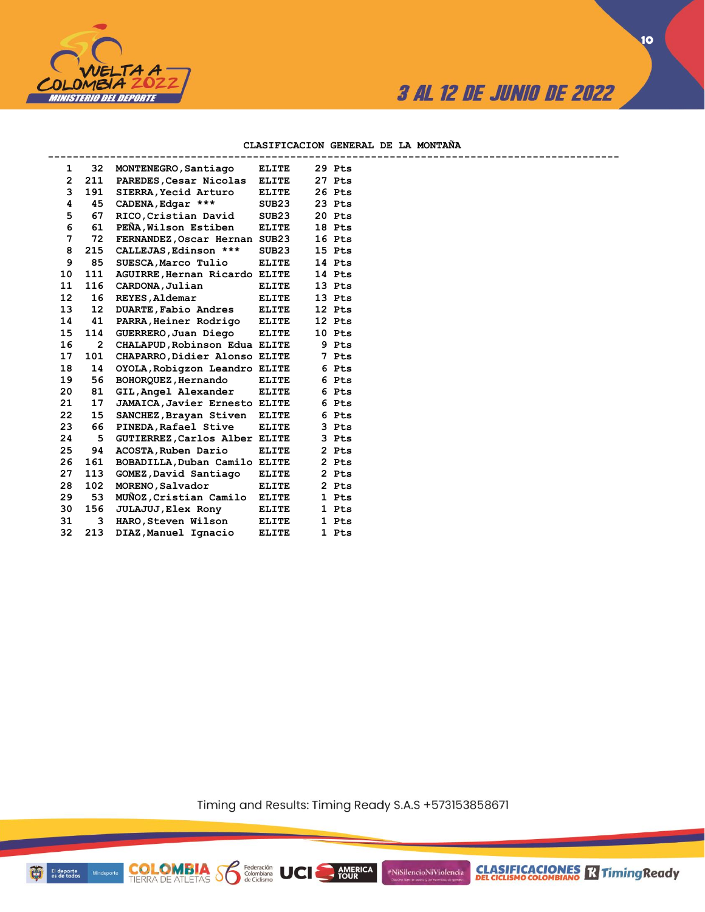

### **CLASIFICACION GENERAL DE LA MONTAÑA**

| 1                 | 32             | MONTENEGRO, Santiago                 | ELITE             | 29 Pts |
|-------------------|----------------|--------------------------------------|-------------------|--------|
| $\overline{2}$    | 211            | PAREDES, Cesar Nicolas               | <b>ELITE</b>      | 27 Pts |
| 3                 | 191            | SIERRA, Yecid Arturo                 | ELITE             | 26 Pts |
| 4                 | 45             | CADENA, Edgar ***                    | SUB <sub>23</sub> | 23 Pts |
| 5                 | 67             | RICO, Cristian David                 | SUB23             | 20 Pts |
| 6                 | 61             | PENA, Wilson Estiben                 | ELITE             | 18 Pts |
| 7                 | 72             | FERNANDEZ, Oscar Hernan SUB23        |                   | 16 Pts |
| 8                 | 215            | CALLEJAS, Edinson ***                | SUB <sub>23</sub> | 15 Pts |
| 9                 | 85             | SUESCA, Marco Tulio                  | <b>ELITE</b>      | 14 Pts |
| 10                | 111            | AGUIRRE, Hernan Ricardo ELITE        |                   | 14 Pts |
| 11                | 116            | CARDONA, Julian                      | ELITE             | 13 Pts |
| $12 \overline{ }$ | 16             | REYES, Aldemar                       | <b>ELITE</b>      | 13 Pts |
| 13                | 12             | DUARTE, Fabio Andres                 | <b>ELITE</b>      | 12 Pts |
| 14                | 41             | PARRA, Heiner Rodrigo                | <b>ELITE</b>      | 12 Pts |
| 15                | 114            | GUERRERO, Juan Diego                 | <b>ELITE</b>      | 10 Pts |
| 16                | $\overline{2}$ | CHALAPUD, Robinson Edua ELITE        |                   | 9 Pts  |
| 17                | 101            | CHAPARRO, Didier Alonso ELITE        |                   | 7 Pts  |
| 18                | 14             | OYOLA, Robigzon Leandro ELITE        |                   | 6 Pts  |
| 19                | 56             | BOHORQUEZ, Hernando                  | <b>ELITE</b>      | 6 Pts  |
| 20                | 81             | GIL, Angel Alexander                 | <b>ELITE</b>      | 6 Pts  |
| 21                | 17             | <b>JAMAICA, Javier Ernesto ELITE</b> |                   | 6 Pts  |
| 22                | 15             | SANCHEZ, Brayan Stiven               | <b>ELITE</b>      | 6 Pts  |
| 23                | 66             | PINEDA, Rafael Stive                 | <b>ELITE</b>      | 3 Pts  |
| 24                | 5              | GUTIERREZ, Carlos Alber ELITE        |                   | 3 Pts  |
| 25                | 94             | ACOSTA, Ruben Dario                  | ELITE             | 2 Pts  |
| 26                | 161            | BOBADILLA, Duban Camilo ELITE        |                   | 2 Pts  |
| 27                | 113            | GOMEZ, David Santiago                | <b>ELITE</b>      | 2 Pts  |
| 28                | 102            | MORENO, Salvador                     | ELITE             | 2 Pts  |
| 29                | 53             | MUÑOZ, Cristian Camilo               | <b>ELITE</b>      | 1 Pts  |
| 30                | 156            | <b>JULAJUJ</b> , Elex Rony           | <b>ELITE</b>      | 1 Pts  |
| 31                | 3              | HARO, Steven Wilson                  | <b>ELITE</b>      | 1 Pts  |
| 32                | 213            | DIAZ, Manuel Ignacio                 | <b>ELITE</b>      | 1 Pts  |
|                   |                |                                      |                   |        |

**COLOMBIA Sombiana** UCI

Timing and Results: Timing Ready S.A.S +573153858671

AMERICA

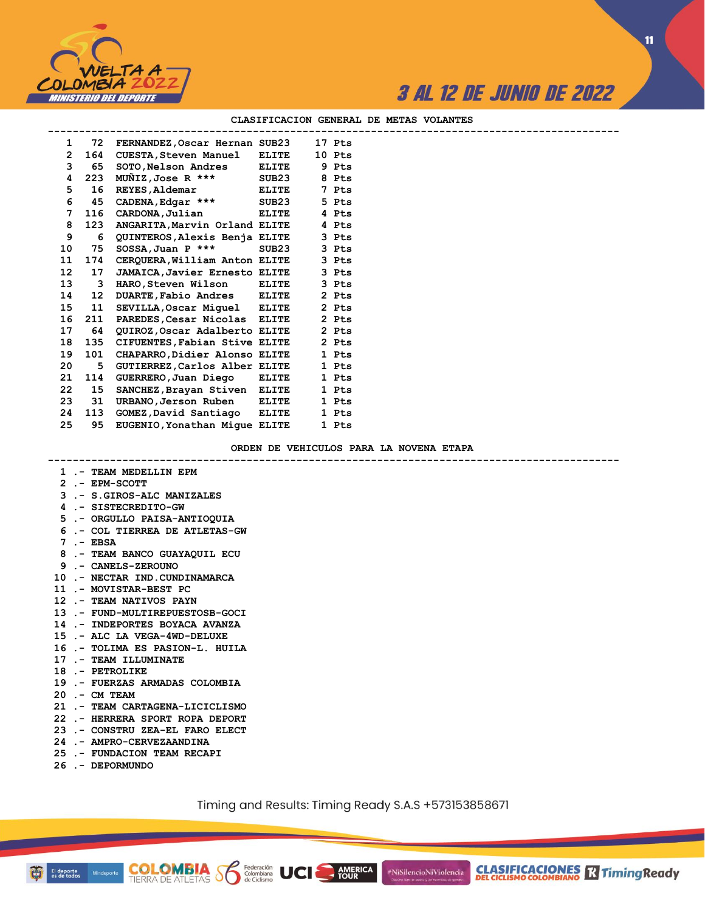

**CLASIFICACIONES M**TimingReady

**11**

#### **CLASIFICACION GENERAL DE METAS VOLANTES**

| 1              |     | 72 FERNANDEZ, Oscar Hernan SUB23     |              | 17 Pts |  |
|----------------|-----|--------------------------------------|--------------|--------|--|
| $\overline{2}$ | 164 | <b>CUESTA, Steven Manuel</b>         | ELITE        | 10 Pts |  |
| 3              | 65  | SOTO, Nelson Andres                  | <b>ELITE</b> | 9 Pts  |  |
| 4              | 223 | $MUNIZ, Jose R$ ***                  | SUB23        | 8 Pts  |  |
| 5              | 16  | <b>REYES, Aldemar</b>                | ELITE        | 7 Pts  |  |
| 6              | 45  | CADENA, Edgar ***                    | SUB23        | 5 Pts  |  |
| 7              | 116 | CARDONA, Julian                      | <b>ELITE</b> | 4 Pts  |  |
| 8              | 123 | ANGARITA, Marvin Orland ELITE        |              | 4 Pts  |  |
| 9              | 6   | QUINTEROS, Alexis Benja ELITE        |              | 3 Pts  |  |
| 10             | 75  | $SOSSA$ , Juan P ***                 | SUB23        | 3 Pts  |  |
| 11             | 174 | CERQUERA, William Anton ELITE        |              | 3 Pts  |  |
| 12             | 17  | <b>JAMAICA, Javier Ernesto ELITE</b> |              | 3 Pts  |  |
| 13             | 3   | HARO, Steven Wilson                  | <b>ELITE</b> | 3 Pts  |  |
| 14             | 12  | DUARTE, Fabio Andres ELITE           |              | 2 Pts  |  |
| 15             | 11  | SEVILLA, Oscar Miguel ELITE          |              | 2 Pts  |  |
| 16             | 211 | PAREDES, Cesar Nicolas ELITE         |              | 2 Pts  |  |
| 17             | 64  | QUIROZ, Oscar Adalberto ELITE        |              | 2 Pts  |  |
| 18             | 135 | CIFUENTES, Fabian Stive ELITE        |              | 2 Pts  |  |
| 19             | 101 | CHAPARRO, Didier Alonso ELITE        |              | 1 Pts  |  |
| 20             | 5   | GUTIERREZ, Carlos Alber ELITE        |              | 1 Pts  |  |
| 21             | 114 | GUERRERO, Juan Diego ELITE           |              | 1 Pts  |  |
| 22             | 15  | SANCHEZ, Brayan Stiven ELITE         |              | 1 Pts  |  |
| 23             | 31  | URBANO, Jerson Ruben ELITE           |              | 1 Pts  |  |
| 24             | 113 | GOMEZ, David Santiago ELITE          |              | 1 Pts  |  |
| 25             | 95  | EUGENIO, Yonathan Mique ELITE        |              | 1 Pts  |  |
|                |     |                                      |              |        |  |

#### **ORDEN DE VEHICULOS PARA LA NOVENA ETAPA**

**--------------------------------------------------------------------------------------------**

### **1 .- TEAM MEDELLIN EPM**

- **2 .- EPM-SCOTT**
- **3 .- S.GIROS-ALC MANIZALES**
- **4 .- SISTECREDITO-GW**
- **5 .- ORGULLO PAISA-ANTIOQUIA**
- **6 .- COL TIERREA DE ATLETAS-GW**
- **7 .- EBSA**
- **8 .- TEAM BANCO GUAYAQUIL ECU**
- **9 .- CANELS-ZEROUNO**
- **10 .- NECTAR IND.CUNDINAMARCA**
- **11 .- MOVISTAR-BEST PC**
- **12 .- TEAM NATIVOS PAYN**
- **13 .- FUND-MULTIREPUESTOSB-GOCI**
- **14 .- INDEPORTES BOYACA AVANZA**
- **15 .- ALC LA VEGA-4WD-DELUXE**
- **16 .- TOLIMA ES PASION-L. HUILA**
- **17 .- TEAM ILLUMINATE**
- **18 .- PETROLIKE**
- **19 .- FUERZAS ARMADAS COLOMBIA**
- **20 .- CM TEAM**
- **21 .- TEAM CARTAGENA-LICICLISMO**
- **22 .- HERRERA SPORT ROPA DEPORT**
- **23 .- CONSTRU ZEA-EL FARO ELECT**

**COLOMBIA Solutions UCI** 

- **24 .- AMPRO-CERVEZAANDINA**
- **25 .- FUNDACION TEAM RECAPI**
- **26 .- DEPORMUNDO**

Mindeporte

Timing and Results: Timing Ready S.A.S +573153858671

**AMERICA**<br>TOUR

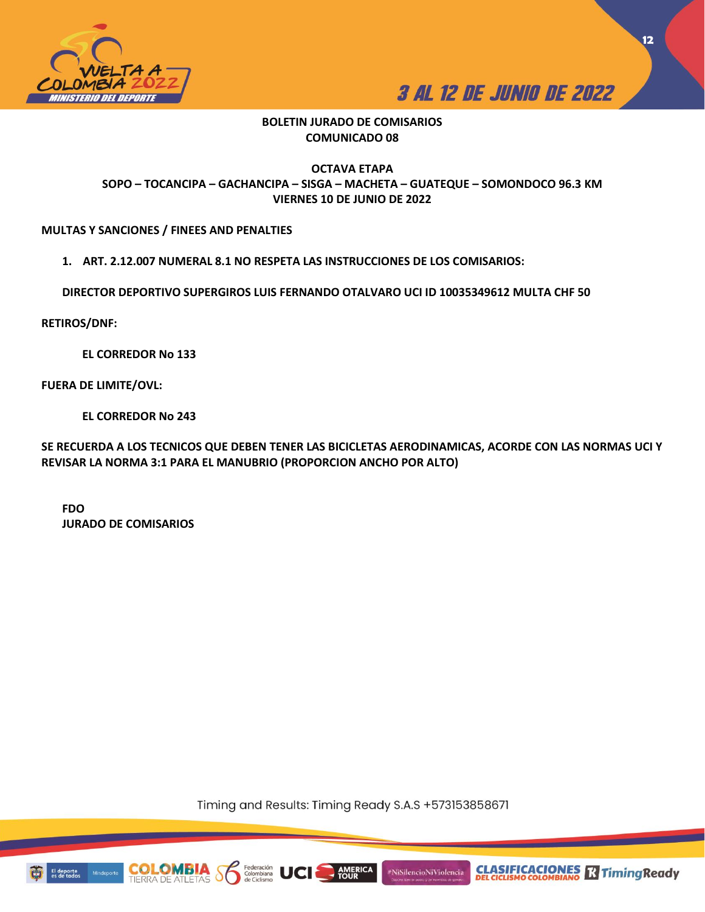



**12**

## **BOLETIN JURADO DE COMISARIOS COMUNICADO 08**

## **OCTAVA ETAPA SOPO – TOCANCIPA – GACHANCIPA – SISGA – MACHETA – GUATEQUE – SOMONDOCO 96.3 KM VIERNES 10 DE JUNIO DE 2022**

## **MULTAS Y SANCIONES / FINEES AND PENALTIES**

**1. ART. 2.12.007 NUMERAL 8.1 NO RESPETA LAS INSTRUCCIONES DE LOS COMISARIOS:**

**DIRECTOR DEPORTIVO SUPERGIROS LUIS FERNANDO OTALVARO UCI ID 10035349612 MULTA CHF 50**

**RETIROS/DNF:** 

**EL CORREDOR No 133**

**FUERA DE LIMITE/OVL:** 

**EL CORREDOR No 243**

**SE RECUERDA A LOS TECNICOS QUE DEBEN TENER LAS BICICLETAS AERODINAMICAS, ACORDE CON LAS NORMAS UCI Y REVISAR LA NORMA 3:1 PARA EL MANUBRIO (PROPORCION ANCHO POR ALTO)**

**FDO JURADO DE COMISARIOS**

Timing and Results: Timing Ready S.A.S +573153858671

**AMERICA**<br>TOUR

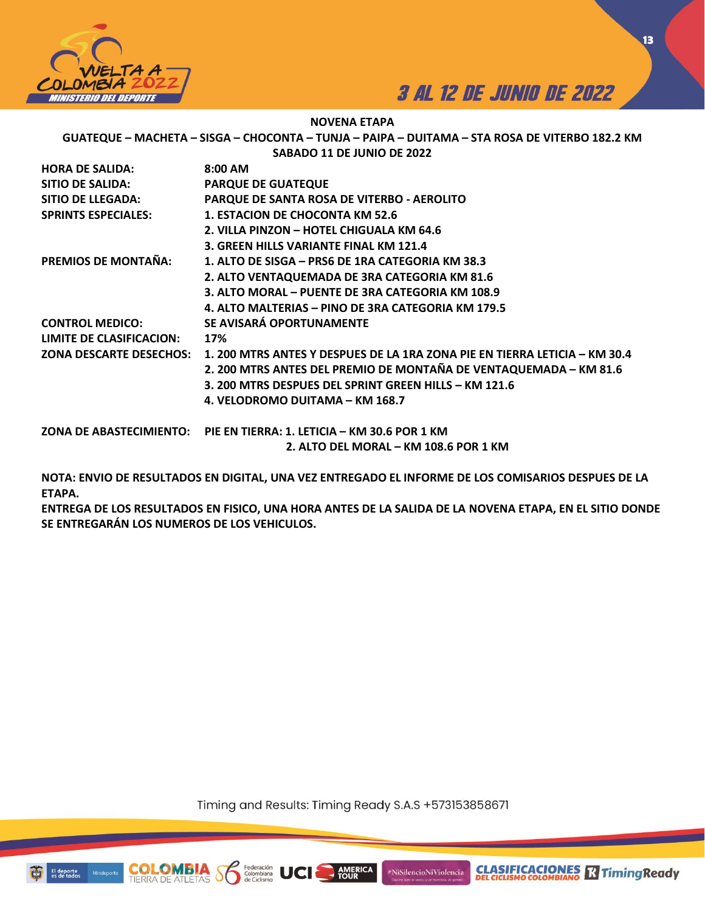



**13**

**NOVENA ETAPA**

**GUATEQUE – MACHETA – SISGA – CHOCONTA – TUNJA – PAIPA – DUITAMA – STA ROSA DE VITERBO 182.2 KM SABADO 11 DE JUNIO DE 2022**

| <b>HORA DE SALIDA:</b>     | 8:00 AM                                                                                           |
|----------------------------|---------------------------------------------------------------------------------------------------|
| <b>SITIO DE SALIDA:</b>    | <b>PARQUE DE GUATEQUE</b>                                                                         |
| SITIO DE LLEGADA:          | PARQUE DE SANTA ROSA DE VITERBO - AEROLITO                                                        |
| <b>SPRINTS ESPECIALES:</b> | 1. ESTACION DE CHOCONTA KM 52.6                                                                   |
|                            | 2. VILLA PINZON – HOTEL CHIGUALA KM 64.6                                                          |
|                            | 3. GREEN HILLS VARIANTE FINAL KM 121.4                                                            |
| PREMIOS DE MONTAÑA:        | 1. ALTO DE SISGA – PRS6 DE 1RA CATEGORIA KM 38.3                                                  |
|                            | 2. ALTO VENTAQUEMADA DE 3RA CATEGORIA KM 81.6                                                     |
|                            | 3. ALTO MORAL – PUENTE DE 3RA CATEGORIA KM 108.9                                                  |
|                            | 4. ALTO MALTERIAS – PINO DE 3RA CATEGORIA KM 179.5                                                |
| <b>CONTROL MEDICO:</b>     | SE AVISARÁ OPORTUNAMENTE                                                                          |
| LIMITE DE CLASIFICACION:   | 17%                                                                                               |
|                            | ZONA DESCARTE DESECHOS: 1.200 MTRS ANTES Y DESPUES DE LA 1RA ZONA PIE EN TIERRA LETICIA – KM 30.4 |
|                            | 2. 200 MTRS ANTES DEL PREMIO DE MONTAÑA DE VENTAQUEMADA - KM 81.6                                 |
|                            | 3. 200 MTRS DESPUES DEL SPRINT GREEN HILLS – KM 121.6                                             |
|                            | 4. VELODROMO DUITAMA – KM 168.7                                                                   |
|                            | ZONA DE ABASTECIMIENTO: PIE EN TIERRA: 1. LETICIA – KM 30.6 POR 1 KM                              |
|                            | 2. ALTO DEL MORAL – KM 108.6 POR 1 KM                                                             |

**NOTA: ENVIO DE RESULTADOS EN DIGITAL, UNA VEZ ENTREGADO EL INFORME DE LOS COMISARIOS DESPUES DE LA ETAPA.** 

**ENTREGA DE LOS RESULTADOS EN FISICO, UNA HORA ANTES DE LA SALIDA DE LA NOVENA ETAPA, EN EL SITIO DONDE SE ENTREGARÁN LOS NUMEROS DE LOS VEHICULOS.** 

Timing and Results: Timing Ready S.A.S +573153858671

AMERICA

#NiSilencioNiViolencia

Federación<br>Colombiana



COI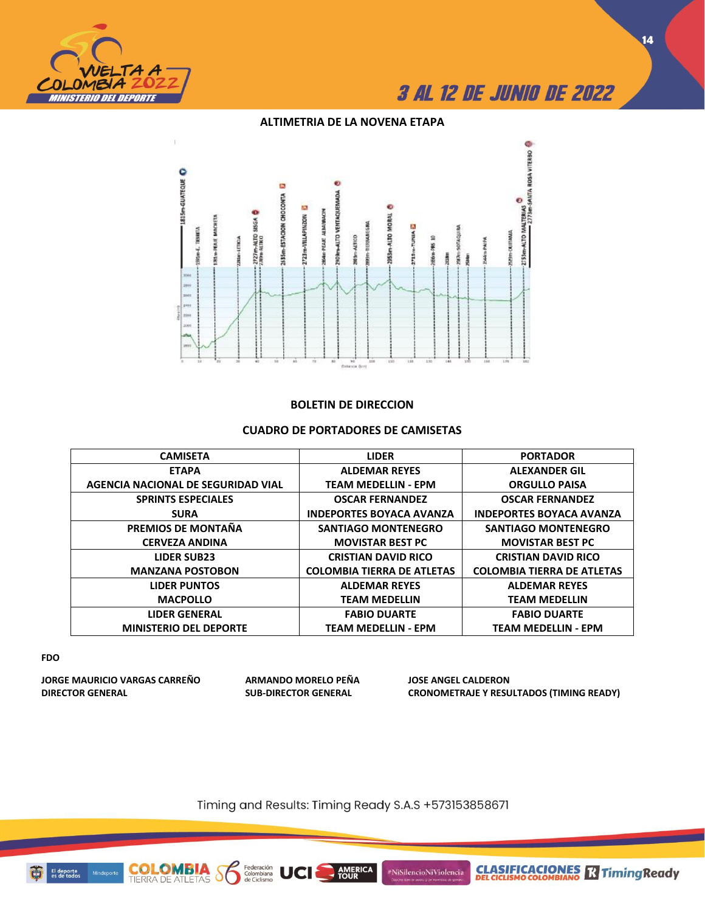

**14**

## **ALTIMETRIA DE LA NOVENA ETAPA**



## **BOLETIN DE DIRECCION**

## **CUADRO DE PORTADORES DE CAMISETAS**

| <b>CAMISETA</b>                    | <b>LIDER</b>                      | <b>PORTADOR</b>                   |  |  |
|------------------------------------|-----------------------------------|-----------------------------------|--|--|
| <b>ETAPA</b>                       | <b>ALDEMAR REYES</b>              | <b>ALEXANDER GIL</b>              |  |  |
| AGENCIA NACIONAL DE SEGURIDAD VIAL | <b>TEAM MEDELLIN - EPM</b>        | <b>ORGULLO PAISA</b>              |  |  |
| <b>SPRINTS ESPECIALES</b>          | <b>OSCAR FERNANDEZ</b>            | <b>OSCAR FERNANDEZ</b>            |  |  |
| <b>SURA</b>                        | <b>INDEPORTES BOYACA AVANZA</b>   | <b>INDEPORTES BOYACA AVANZA</b>   |  |  |
| PREMIOS DE MONTAÑA                 | <b>SANTIAGO MONTENEGRO</b>        | <b>SANTIAGO MONTENEGRO</b>        |  |  |
| <b>CERVEZA ANDINA</b>              | <b>MOVISTAR BEST PC</b>           | <b>MOVISTAR BEST PC</b>           |  |  |
| <b>LIDER SUB23</b>                 | <b>CRISTIAN DAVID RICO</b>        | <b>CRISTIAN DAVID RICO</b>        |  |  |
| <b>MANZANA POSTOBON</b>            | <b>COLOMBIA TIERRA DE ATLETAS</b> | <b>COLOMBIA TIERRA DE ATLETAS</b> |  |  |
| <b>LIDER PUNTOS</b>                | <b>ALDEMAR REYES</b>              | <b>ALDEMAR REYES</b>              |  |  |
| <b>MACPOLLO</b>                    | <b>TEAM MEDELLIN</b>              | <b>TEAM MEDELLIN</b>              |  |  |
| <b>LIDER GENERAL</b>               | <b>FABIO DUARTE</b>               | <b>FABIO DUARTE</b>               |  |  |
| <b>MINISTERIO DEL DEPORTE</b>      | <b>TEAM MEDELLIN - EPM</b>        | <b>TEAM MEDELLIN - EPM</b>        |  |  |

#### **FDO**

**JORGE MAURICIO VARGAS CARREÑO ARMANDO MORELO PEÑA JOSE ANGEL CALDERON**

**COLOMBIA**<br>TIERRA DE ATLETAS

Federación<br>Colombiana<br>de Ciclismo

 $\delta$ 

UCI

**DIRECTOR GENERAL SUB-DIRECTOR GENERAL CRONOMETRAJE Y RESULTADOS (TIMING READY)**

Timing and Results: Timing Ready S.A.S +573153858671

AMERICA



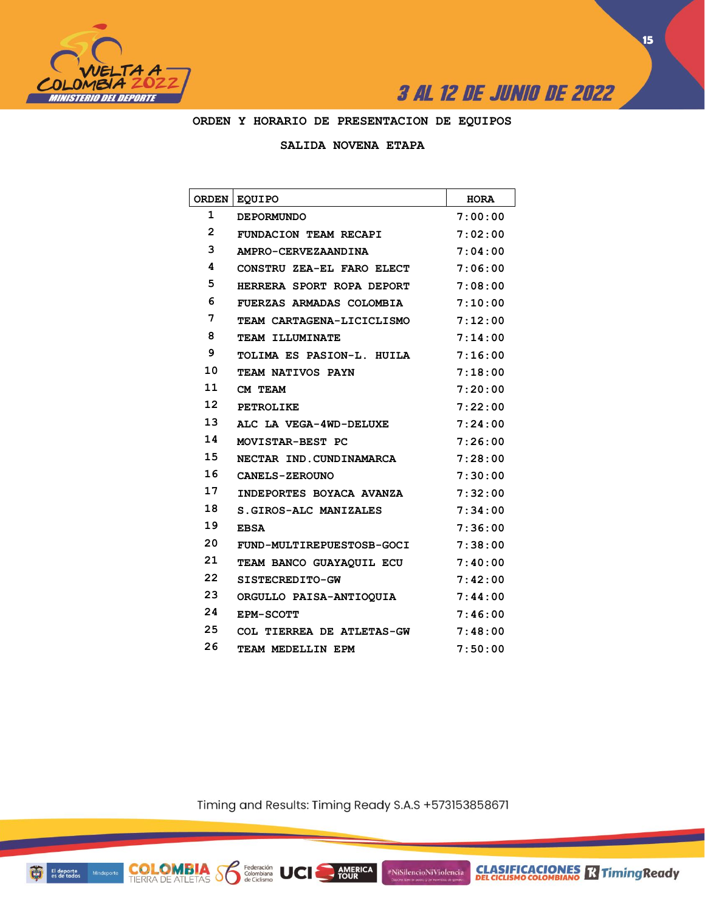



**ORDEN Y HORARIO DE PRESENTACION DE EQUIPOS**

## **SALIDA NOVENA ETAPA**

| <b>ORDEN</b>      | <b>EQUIPO</b>                   | <b>HORA</b> |
|-------------------|---------------------------------|-------------|
| 1                 | <b>DEPORMUNDO</b>               | 7:00:00     |
| $\overline{2}$    | FUNDACION TEAM RECAPI           | 7:02:00     |
| 3                 | AMPRO-CERVEZAANDINA             | 7:04:00     |
| 4                 | CONSTRU ZEA-EL FARO ELECT       | 7:06:00     |
| 5                 | HERRERA SPORT ROPA DEPORT       | 7:08:00     |
| 6                 | <b>FUERZAS ARMADAS COLOMBIA</b> | 7:10:00     |
| 7                 | TEAM CARTAGENA-LICICLISMO       | 7:12:00     |
| 8                 | <b>TEAM ILLUMINATE</b>          | 7:14:00     |
| 9                 | TOLIMA ES PASION-L. HUILA       | 7:16:00     |
| 10                | TEAM NATIVOS PAYN               | 7:18:00     |
| 11                | CM TEAM                         | 7:20:00     |
| $12 \overline{ }$ | <b>PETROLIKE</b>                | 7:22:00     |
| 13                | ALC LA VEGA-4WD-DELUXE          | 7:24:00     |
| 14                | MOVISTAR-BEST PC                | 7:26:00     |
| 15                | NECTAR IND. CUNDINAMARCA        | 7:28:00     |
| 16                | CANELS-ZEROUNO                  | 7:30:00     |
| 17                | INDEPORTES BOYACA AVANZA        | 7:32:00     |
| 18                | S. GIROS-ALC MANIZALES          | 7:34:00     |
| 19                | <b>EBSA</b>                     | 7:36:00     |
| 20                | FUND-MULTIREPUESTOSB-GOCI       | 7:38:00     |
| 21                | TEAM BANCO GUAYAOUIL ECU        | 7:40:00     |
| 22                | SISTECREDITO-GW                 | 7:42:00     |
| 23                | ORGULLO PAISA-ANTIOQUIA         | 7:44:00     |
| 24                | <b>EPM-SCOTT</b>                | 7:46:00     |
| 25                | COL TIERREA DE ATLETAS-GW       | 7:48:00     |
| 26                | TEAM MEDELLIN EPM               | 7:50:00     |

Timing and Results: Timing Ready S.A.S +573153858671

AMERICA

#NiSilencioNiViolencia

**COLOMBIA** Solombiana UCI